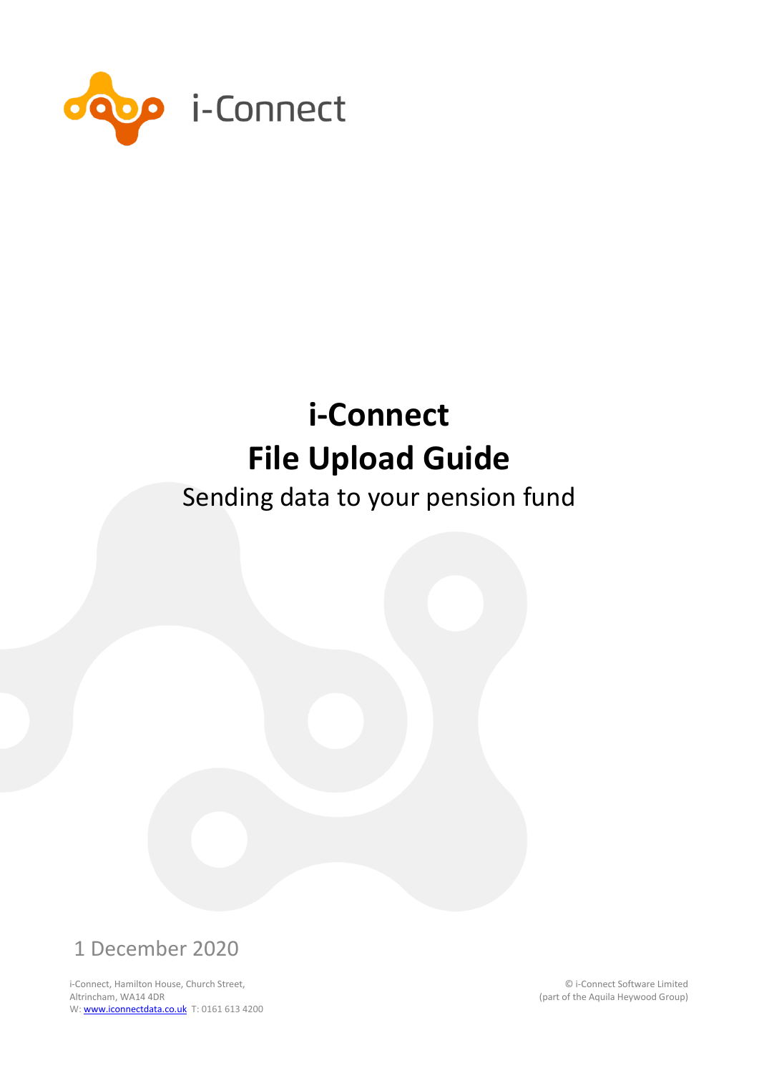

## Sending data to your pension fund



i-Connect, Hamilton House, Church Street, Altrincham, WA14 4DR W: **www.iconnectdata.co.uk** T: 0161 613 4200

© i-Connect Software Limited (part of the Aquila Heywood Group)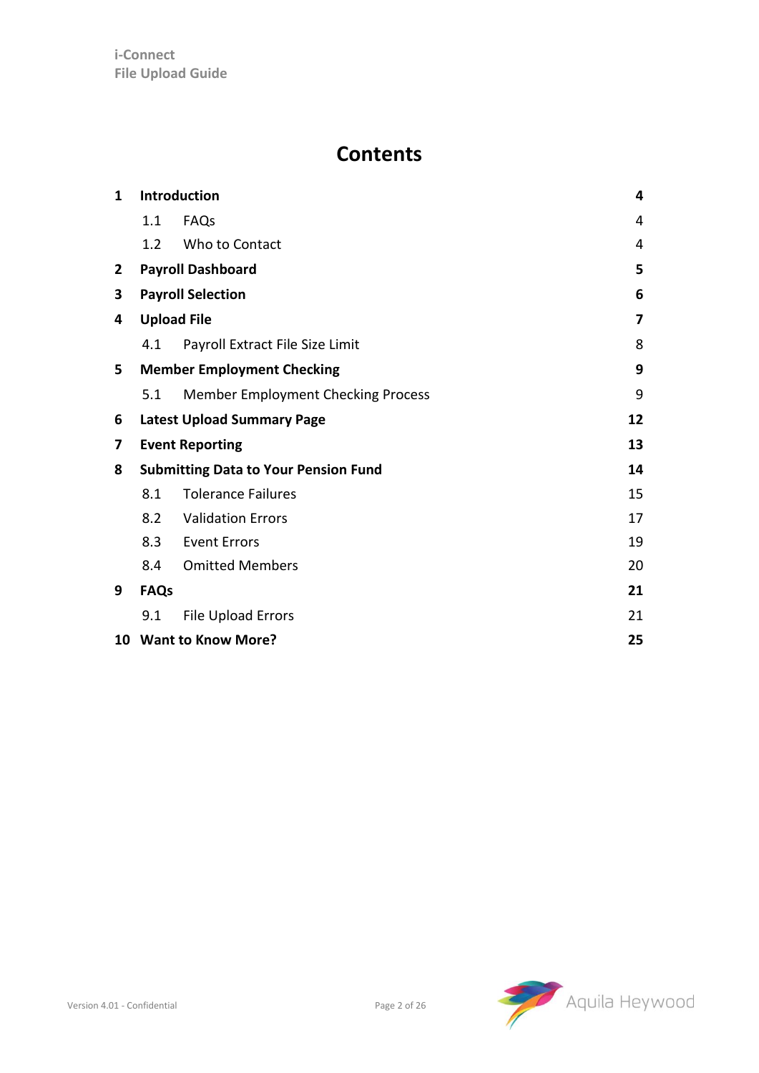#### **Contents**

| $\mathbf{1}$ |             | Introduction                                | 4  |
|--------------|-------------|---------------------------------------------|----|
|              | 1.1         | FAQs                                        | 4  |
|              | 1.2         | Who to Contact                              | 4  |
| 2            |             | <b>Payroll Dashboard</b>                    | 5  |
| 3            |             | <b>Payroll Selection</b>                    | 6  |
| 4            |             | <b>Upload File</b>                          | 7  |
|              | 4.1         | Payroll Extract File Size Limit             | 8  |
| 5            |             | <b>Member Employment Checking</b>           | 9  |
|              | 5.1         | Member Employment Checking Process          | 9  |
| 6            |             | <b>Latest Upload Summary Page</b>           | 12 |
| 7            |             | <b>Event Reporting</b>                      | 13 |
| 8            |             | <b>Submitting Data to Your Pension Fund</b> | 14 |
|              | 8.1         | <b>Tolerance Failures</b>                   | 15 |
|              | 8.2         | <b>Validation Errors</b>                    | 17 |
|              | 8.3         | <b>Event Errors</b>                         | 19 |
|              | 8.4         | <b>Omitted Members</b>                      | 20 |
| 9            | <b>FAQs</b> |                                             | 21 |
|              | 9.1         | <b>File Upload Errors</b>                   | 21 |
|              |             | 10 Want to Know More?                       | 25 |

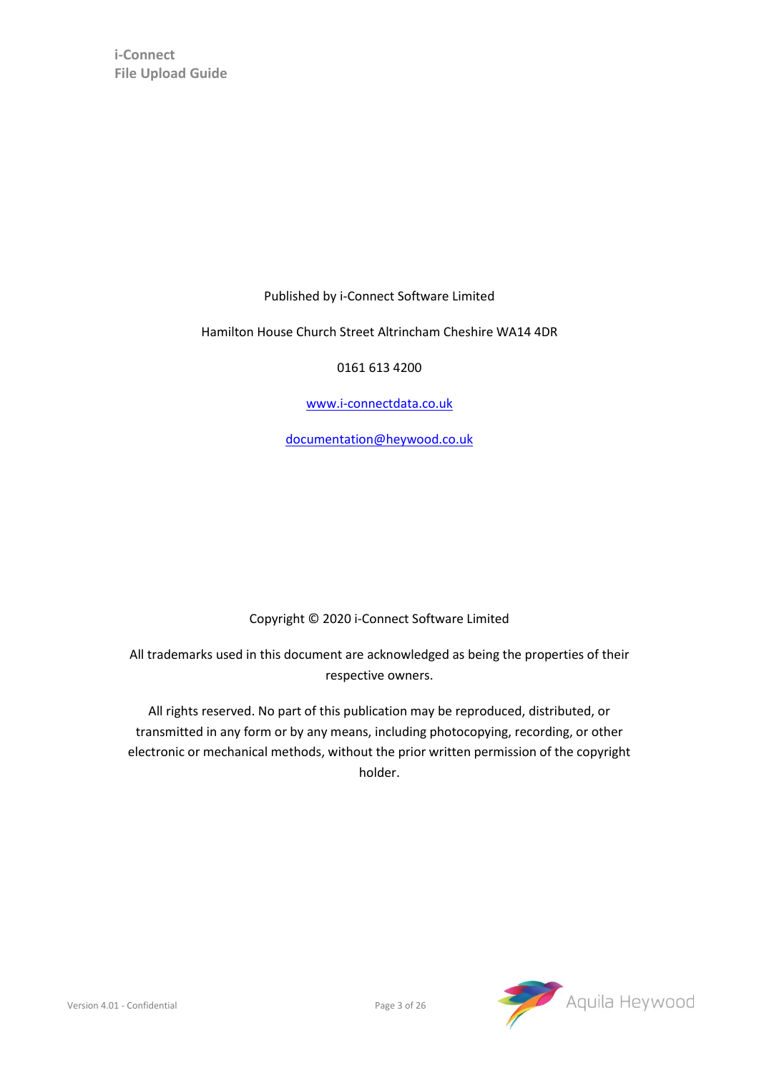Published by i-Connect Software Limited

Hamilton House Church Street Altrincham Cheshire WA14 4DR

0161 613 4200

[www.i-connectdata.co.uk](http://www.i-connectdata.co.uk/)

[documentation@heywood.co.uk](mailto:documentation@heywood.co.uk)

#### Copyright © 2020 i-Connect Software Limited

All trademarks used in this document are acknowledged as being the properties of their respective owners.

All rights reserved. No part of this publication may be reproduced, distributed, or transmitted in any form or by any means, including photocopying, recording, or other electronic or mechanical methods, without the prior written permission of the copyright holder.

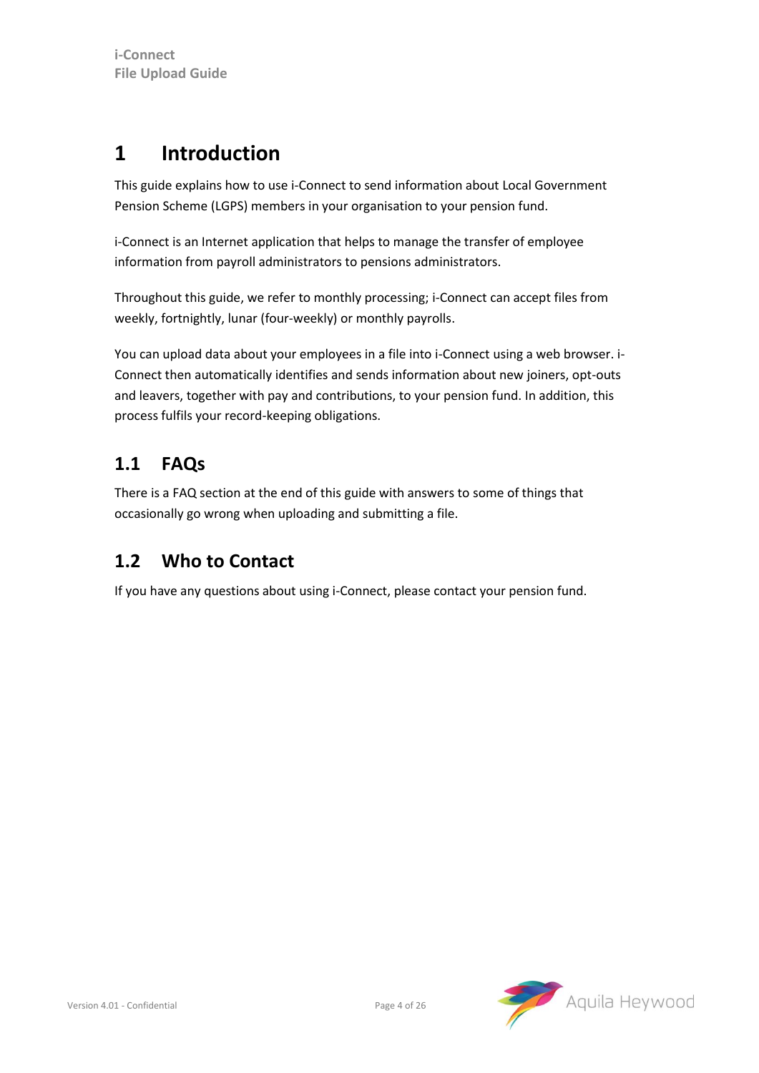#### <span id="page-3-0"></span>**1 Introduction**

This guide explains how to use i-Connect to send information about Local Government Pension Scheme (LGPS) members in your organisation to your pension fund.

i-Connect is an Internet application that helps to manage the transfer of employee information from payroll administrators to pensions administrators.

Throughout this guide, we refer to monthly processing; i-Connect can accept files from weekly, fortnightly, lunar (four-weekly) or monthly payrolls.

You can upload data about your employees in a file into i-Connect using a web browser. i-Connect then automatically identifies and sends information about new joiners, opt-outs and leavers, together with pay and contributions, to your pension fund. In addition, this process fulfils your record-keeping obligations.

#### <span id="page-3-1"></span>**1.1 FAQs**

There is a FAQ section at the end of this guide with answers to some of things that occasionally go wrong when uploading and submitting a file.

#### <span id="page-3-2"></span>**1.2 Who to Contact**

If you have any questions about using i-Connect, please contact your pension fund.

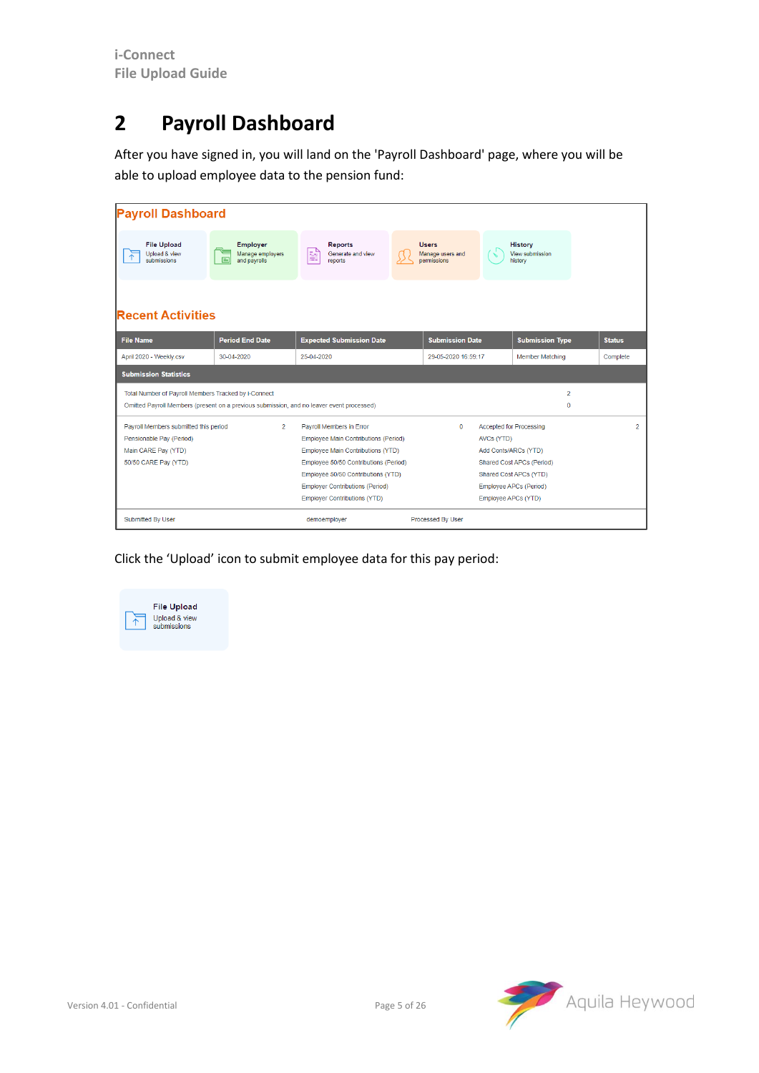## <span id="page-4-0"></span>**2 Payroll Dashboard**

After you have signed in, you will land on the 'Payroll Dashboard' page, where you will be able to upload employee data to the pension fund:

| <b>Payroll Dashboard</b>                                                                                                                          |                                                     |                                                                                                                                                                                                                                                                       |                                                 |            |                                                                                                                                                                |               |
|---------------------------------------------------------------------------------------------------------------------------------------------------|-----------------------------------------------------|-----------------------------------------------------------------------------------------------------------------------------------------------------------------------------------------------------------------------------------------------------------------------|-------------------------------------------------|------------|----------------------------------------------------------------------------------------------------------------------------------------------------------------|---------------|
| <b>File Upload</b><br>Upload & view<br>submissions                                                                                                | <b>Employer</b><br>Manage employers<br>and payrolls | <b>Reports</b><br>ë<br>Generate and view<br>reports                                                                                                                                                                                                                   | <b>Users</b><br>Manage users and<br>permissions |            | <b>History</b><br>View submission<br>history                                                                                                                   |               |
| <b>Recent Activities</b><br><b>File Name</b>                                                                                                      | <b>Period End Date</b>                              | <b>Expected Submission Date</b>                                                                                                                                                                                                                                       | <b>Submission Date</b>                          |            | <b>Submission Type</b>                                                                                                                                         | <b>Status</b> |
| April 2020 - Weekly.csv                                                                                                                           | 30-04-2020                                          | 25-04-2020                                                                                                                                                                                                                                                            | 29-05-2020 16:59:17                             |            | <b>Member Matching</b>                                                                                                                                         | Complete      |
| <b>Submission Statistics</b>                                                                                                                      |                                                     |                                                                                                                                                                                                                                                                       |                                                 |            |                                                                                                                                                                |               |
| Total Number of Payroll Members Tracked by i-Connect<br>Omitted Payroll Members (present on a previous submission, and no leaver event processed) |                                                     |                                                                                                                                                                                                                                                                       |                                                 |            | $\overline{2}$<br>$\mathbf{0}$                                                                                                                                 |               |
| Payroll Members submitted this period<br>Pensionable Pay (Period)<br>Main CARE Pay (YTD)<br>50/50 CARE Pay (YTD)                                  | $\overline{2}$                                      | Payroll Members in Error<br>Employee Main Contributions (Period)<br>Employee Main Contributions (YTD)<br>Employee 50/50 Contributions (Period)<br>Employee 50/50 Contributions (YTD)<br><b>Employer Contributions (Period)</b><br><b>Employer Contributions (YTD)</b> | $\mathbf 0$                                     | AVCs (YTD) | <b>Accepted for Processing</b><br>Add Conts/ARCs (YTD)<br>Shared Cost APCs (Period)<br>Shared Cost APCs (YTD)<br>Employee APCs (Period)<br>Employee APCs (YTD) |               |
| <b>Submitted By User</b>                                                                                                                          |                                                     | demoemployer                                                                                                                                                                                                                                                          | Processed By User                               |            |                                                                                                                                                                |               |

Click the 'Upload' icon to submit employee data for this pay period:



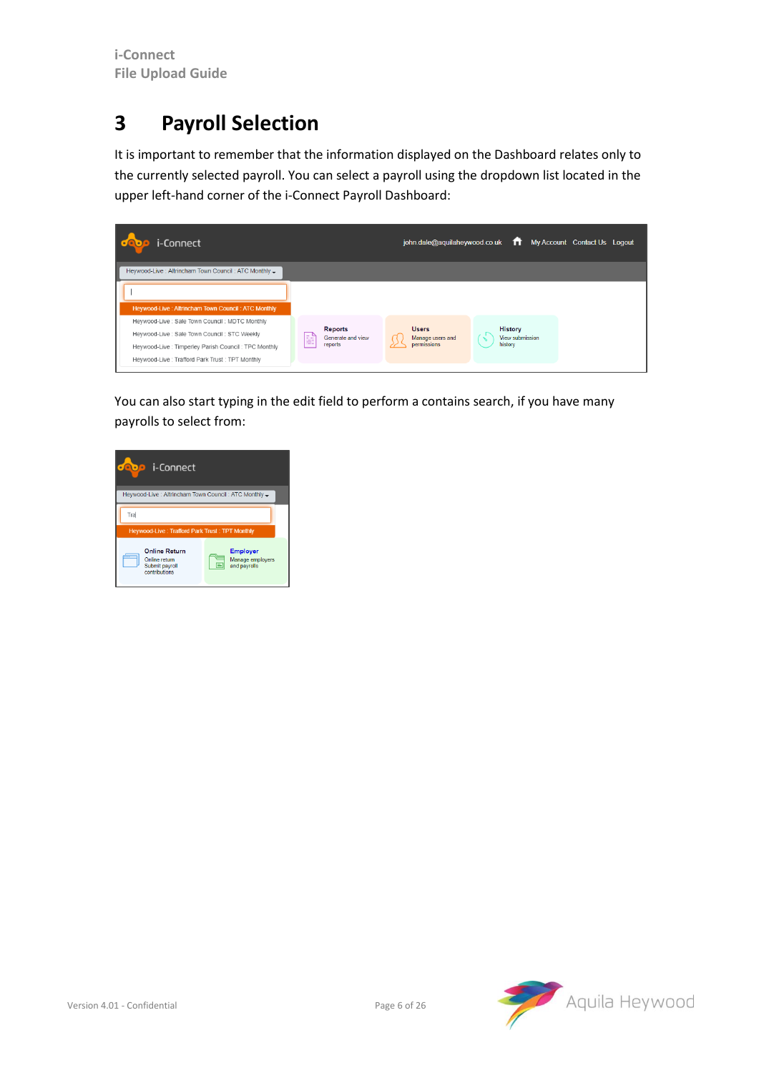## <span id="page-5-0"></span>**3 Payroll Selection**

It is important to remember that the information displayed on the Dashboard relates only to the currently selected payroll. You can select a payroll using the dropdown list located in the upper left-hand corner of the i-Connect Payroll Dashboard:



You can also start typing in the edit field to perform a contains search, if you have many payrolls to select from:



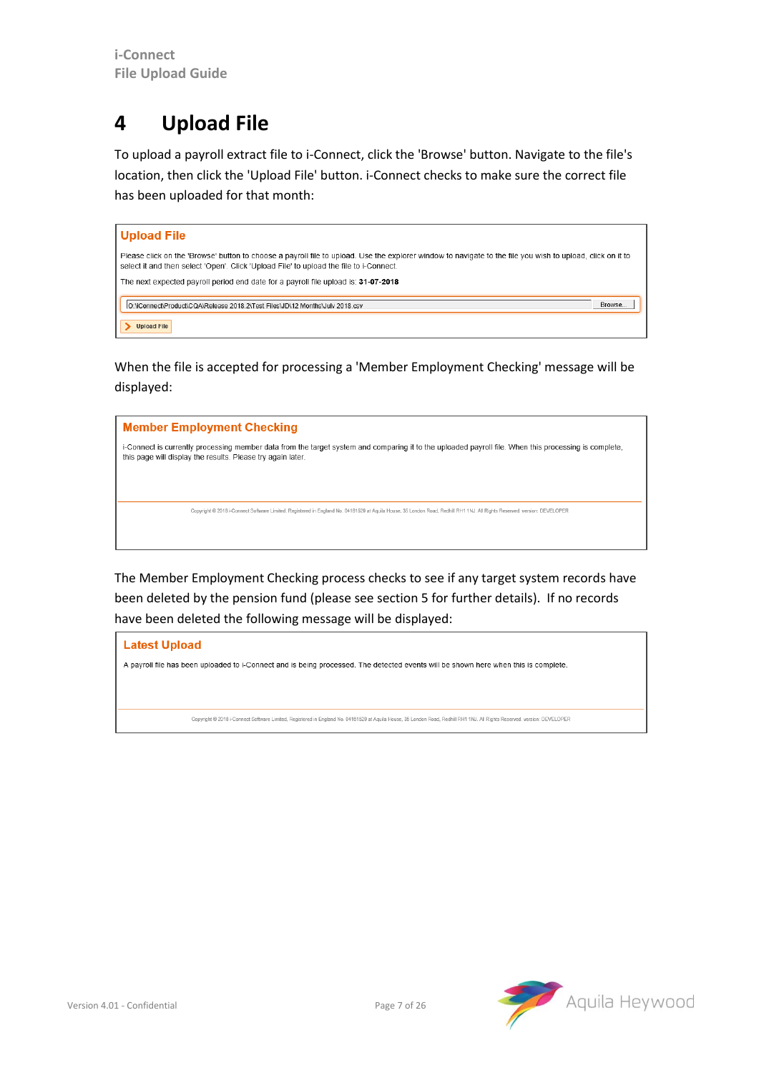### <span id="page-6-0"></span>**4 Upload File**

To upload a payroll extract file to i-Connect, click the 'Browse' button. Navigate to the file's location, then click the 'Upload File' button. i-Connect checks to make sure the correct file has been uploaded for that month:

| Upload File                                                                                                                                                                                                                                          |
|------------------------------------------------------------------------------------------------------------------------------------------------------------------------------------------------------------------------------------------------------|
| Please click on the 'Browse' button to choose a payroll file to upload. Use the explorer window to navigate to the file you wish to upload, click on it to<br>select it and then select 'Open'. Click 'Upload File' to upload the file to i-Connect. |
| The next expected payroll period end date for a payroll file upload is: 31-07-2018                                                                                                                                                                   |
| IO:\iConnect\Product\CQA\Release 2018.2\Test Files\JD\12 Months\July 2018.csv<br>Browse.                                                                                                                                                             |
| <b>Upload File</b>                                                                                                                                                                                                                                   |

When the file is accepted for processing a 'Member Employment Checking' message will be displayed:



The Member Employment Checking process checks to see if any target system records have been deleted by the pension fund (please see sectio[n 5](#page-8-0) for further details). If no records have been deleted the following message will be displayed:

**Latest Upload** A payroll file has been uploaded to i-Connect and is being processed. The detected events will be shown here when this is complete. Copyright @ 2018 i-Connect Software Limited, Registered in England No. 04161529 at Aquila House, 35 London Road, Redhill RH1 1NJ. All Rights Reserved. version: DEVELOPER

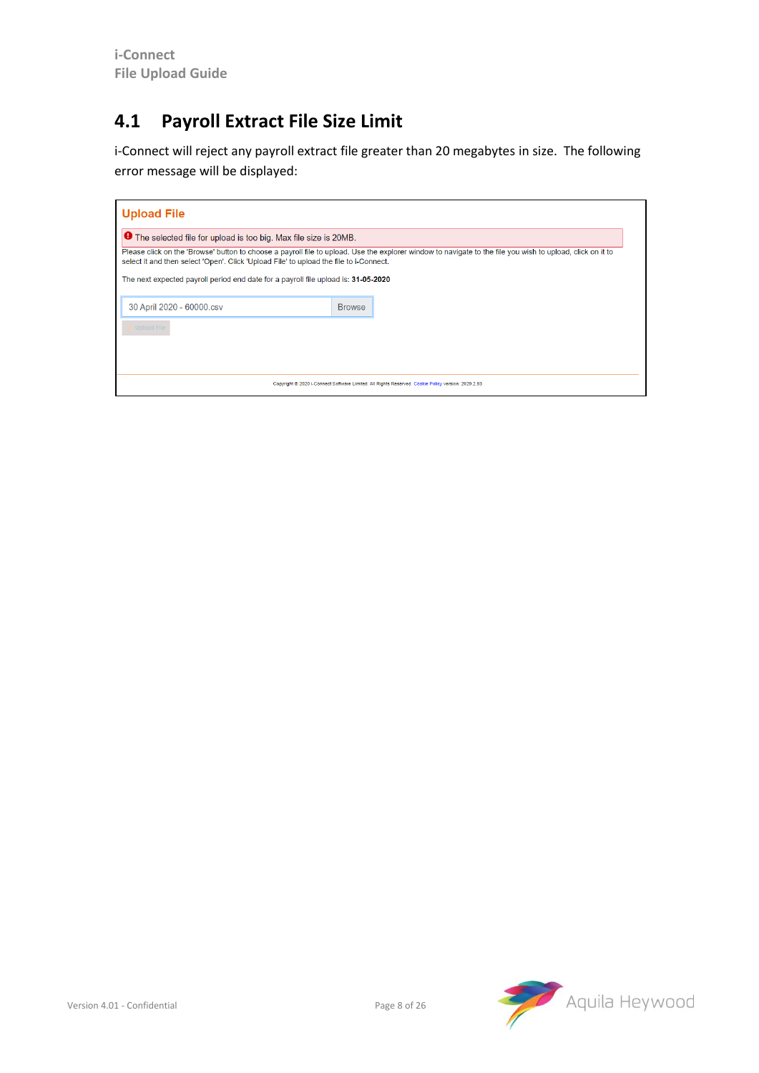#### <span id="page-7-0"></span>**4.1 Payroll Extract File Size Limit**

i-Connect will reject any payroll extract file greater than 20 megabytes in size. The following error message will be displayed:

| <b>Upload File</b>                                                                                                                                                                                                                                   |               |  |  |  |  |  |  |  |  |
|------------------------------------------------------------------------------------------------------------------------------------------------------------------------------------------------------------------------------------------------------|---------------|--|--|--|--|--|--|--|--|
| The selected file for upload is too big. Max file size is 20MB.                                                                                                                                                                                      |               |  |  |  |  |  |  |  |  |
| Please click on the 'Browse' button to choose a payroll file to upload. Use the explorer window to navigate to the file you wish to upload, click on it to<br>select it and then select 'Open'. Click 'Upload File' to upload the file to i-Connect. |               |  |  |  |  |  |  |  |  |
| The next expected payroll period end date for a payroll file upload is: 31-05-2020                                                                                                                                                                   |               |  |  |  |  |  |  |  |  |
| 30 April 2020 - 60000.csv                                                                                                                                                                                                                            | <b>Browse</b> |  |  |  |  |  |  |  |  |
| <b>Upload File</b>                                                                                                                                                                                                                                   |               |  |  |  |  |  |  |  |  |
|                                                                                                                                                                                                                                                      |               |  |  |  |  |  |  |  |  |
|                                                                                                                                                                                                                                                      |               |  |  |  |  |  |  |  |  |
| Copyright @ 2020 i-Connect Software Limited. All Rights Reserved. Cookie Policy version: 2020.2.93                                                                                                                                                   |               |  |  |  |  |  |  |  |  |

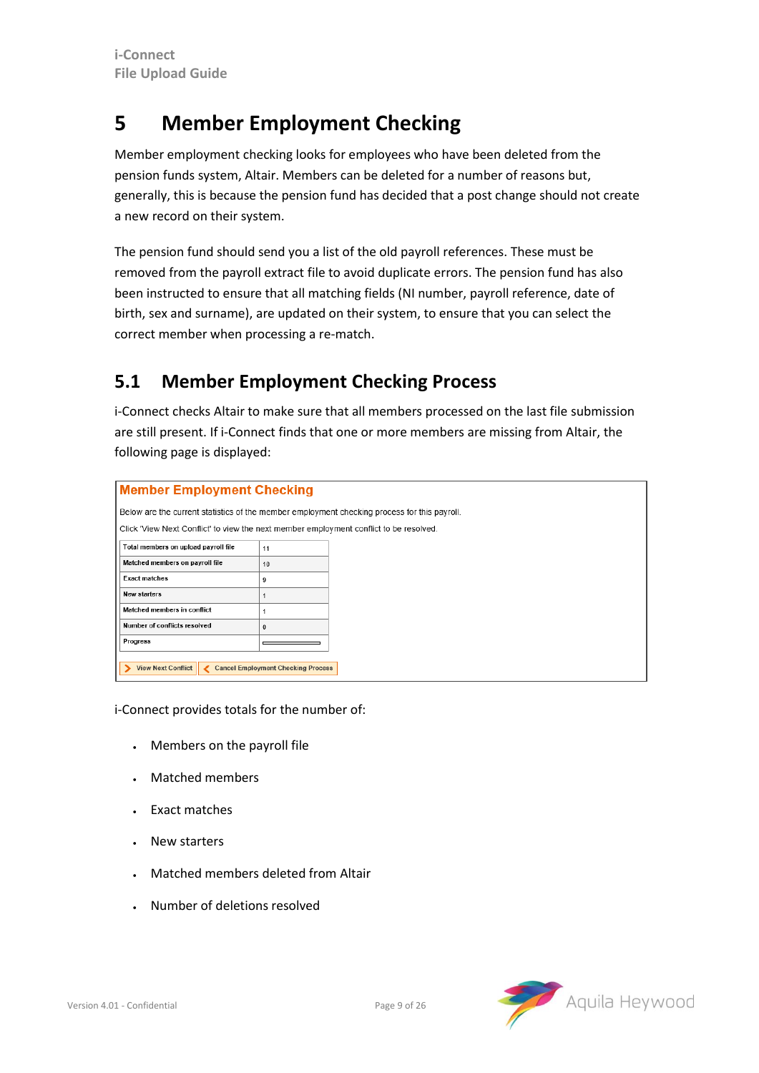#### <span id="page-8-0"></span>**5 Member Employment Checking**

Member employment checking looks for employees who have been deleted from the pension funds system, Altair. Members can be deleted for a number of reasons but, generally, this is because the pension fund has decided that a post change should not create a new record on their system.

The pension fund should send you a list of the old payroll references. These must be removed from the payroll extract file to avoid duplicate errors. The pension fund has also been instructed to ensure that all matching fields (NI number, payroll reference, date of birth, sex and surname), are updated on their system, to ensure that you can select the correct member when processing a re-match.

#### <span id="page-8-1"></span>**5.1 Member Employment Checking Process**

i-Connect checks Altair to make sure that all members processed on the last file submission are still present. If i-Connect finds that one or more members are missing from Altair, the following page is displayed:

|                                                                                              | <b>Member Employment Checking</b>         |  |  |  |  |  |  |  |
|----------------------------------------------------------------------------------------------|-------------------------------------------|--|--|--|--|--|--|--|
| Below are the current statistics of the member employment checking process for this payroll. |                                           |  |  |  |  |  |  |  |
| Click "View Next Conflict" to view the next member employment conflict to be resolved.       |                                           |  |  |  |  |  |  |  |
| Total members on upload payroll file                                                         | 11                                        |  |  |  |  |  |  |  |
| Matched members on payroll file                                                              | 10                                        |  |  |  |  |  |  |  |
| <b>Exact matches</b>                                                                         | 9                                         |  |  |  |  |  |  |  |
| <b>New starters</b>                                                                          |                                           |  |  |  |  |  |  |  |
| Matched members in conflict                                                                  |                                           |  |  |  |  |  |  |  |
| Number of conflicts resolved                                                                 | $\mathbf{0}$                              |  |  |  |  |  |  |  |
| Progress                                                                                     |                                           |  |  |  |  |  |  |  |
| View Next Conflict                                                                           | <b>Cancel Employment Checking Process</b> |  |  |  |  |  |  |  |

i-Connect provides totals for the number of:

- Members on the payroll file
- Matched members
- Exact matches
- New starters
- Matched members deleted from Altair
- Number of deletions resolved

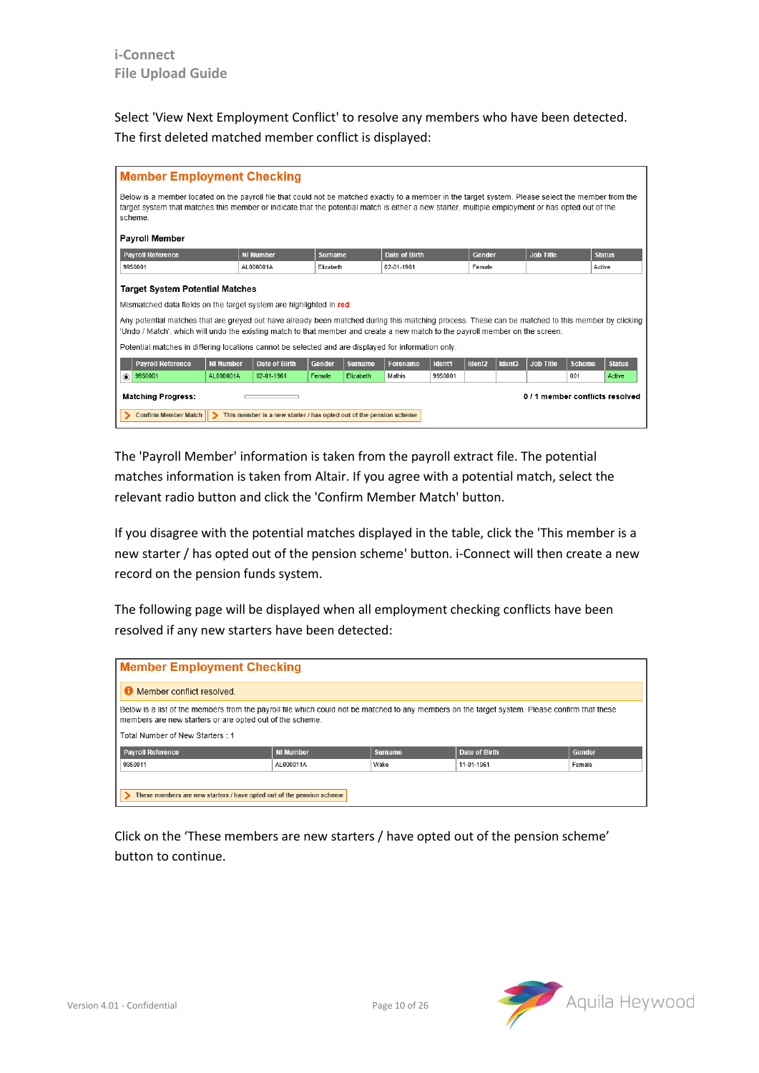Select 'View Next Employment Conflict' to resolve any members who have been detected. The first deleted matched member conflict is displayed:

| <b>Member Employment Checking</b>                                                                                                                                                                                                                                                                                  |                                 |                                                                    |                |                |                      |         |                    |        |           |               |                               |  |
|--------------------------------------------------------------------------------------------------------------------------------------------------------------------------------------------------------------------------------------------------------------------------------------------------------------------|---------------------------------|--------------------------------------------------------------------|----------------|----------------|----------------------|---------|--------------------|--------|-----------|---------------|-------------------------------|--|
| Below is a member located on the payroll file that could not be matched exactly to a member in the target system. Please select the member from the<br>target system that matches this member or indicate that the potential match is either a new starter, multiple employment or has opted out of the<br>scheme. |                                 |                                                                    |                |                |                      |         |                    |        |           |               |                               |  |
| <b>Payroll Member</b>                                                                                                                                                                                                                                                                                              |                                 |                                                                    |                |                |                      |         |                    |        |           |               |                               |  |
| <b>Payroll Reference</b>                                                                                                                                                                                                                                                                                           |                                 | <b>NI Number</b>                                                   | <b>Surname</b> |                | <b>Date of Birth</b> |         | Gender             |        | Job Title |               | <b>Status</b>                 |  |
| 9950001                                                                                                                                                                                                                                                                                                            |                                 | AL000001A                                                          | Elizabeth      |                | 02-01-1961           |         | Female             |        |           |               | Active                        |  |
|                                                                                                                                                                                                                                                                                                                    | Target System Potential Matches |                                                                    |                |                |                      |         |                    |        |           |               |                               |  |
| Mismatched data fields on the target system are highlighted in red.                                                                                                                                                                                                                                                |                                 |                                                                    |                |                |                      |         |                    |        |           |               |                               |  |
| Any potential matches that are greyed out have already been matched during this matching process. These can be matched to this member by clicking<br>'Undo / Match', which will undo the existing match to that member and create a new match to the payroll member on the screen.                                 |                                 |                                                                    |                |                |                      |         |                    |        |           |               |                               |  |
| Potential matches in differing locations cannot be selected and are displayed for information only.                                                                                                                                                                                                                |                                 |                                                                    |                |                |                      |         |                    |        |           |               |                               |  |
| <b>Payroll Reference</b>                                                                                                                                                                                                                                                                                           | <b>NI Number</b>                | Date of Birth                                                      | Gender         | <b>Surname</b> | <b>Forename</b>      | Ident1  | Ident <sub>2</sub> | Ident3 | Job Title | <b>Scheme</b> | <b>Status</b>                 |  |
| 9950001<br>◉                                                                                                                                                                                                                                                                                                       | AI 000001A                      | 02-01-1961                                                         | Female         | Flizabeth      | Mathis               | 9950001 |                    |        |           | 001           | Active                        |  |
| <b>Matching Progress:</b>                                                                                                                                                                                                                                                                                          |                                 |                                                                    |                |                |                      |         |                    |        |           |               | 0/1 member conflicts resolved |  |
| <b>Confirm Member Match</b>                                                                                                                                                                                                                                                                                        |                                 | This member is a new starter / has opted out of the pension scheme |                |                |                      |         |                    |        |           |               |                               |  |

The 'Payroll Member' information is taken from the payroll extract file. The potential matches information is taken from Altair. If you agree with a potential match, select the relevant radio button and click the 'Confirm Member Match' button.

If you disagree with the potential matches displayed in the table, click the 'This member is a new starter / has opted out of the pension scheme' button. i-Connect will then create a new record on the pension funds system.

The following page will be displayed when all employment checking conflicts have been resolved if any new starters have been detected:

| <b>Member Employment Checking</b>                                                                                                                                                                                                             |                  |                |               |        |  |  |  |  |  |
|-----------------------------------------------------------------------------------------------------------------------------------------------------------------------------------------------------------------------------------------------|------------------|----------------|---------------|--------|--|--|--|--|--|
| <b>C</b> Member conflict resolved                                                                                                                                                                                                             |                  |                |               |        |  |  |  |  |  |
| Below is a list of the members from the payroll file which could not be matched to any members on the target system. Please confirm that these<br>members are new starters or are opted out of the scheme.<br>Total Number of New Starters: 1 |                  |                |               |        |  |  |  |  |  |
| <b>Payroll Reference</b>                                                                                                                                                                                                                      | <b>NI Number</b> | <b>Surname</b> | Date of Birth | Gender |  |  |  |  |  |
| 9950011                                                                                                                                                                                                                                       | AL000011A        | Wake           | 11-01-1961    | Female |  |  |  |  |  |
| These members are new starters / have opted out of the pension scheme                                                                                                                                                                         |                  |                |               |        |  |  |  |  |  |

Click on the 'These members are new starters / have opted out of the pension scheme' button to continue.

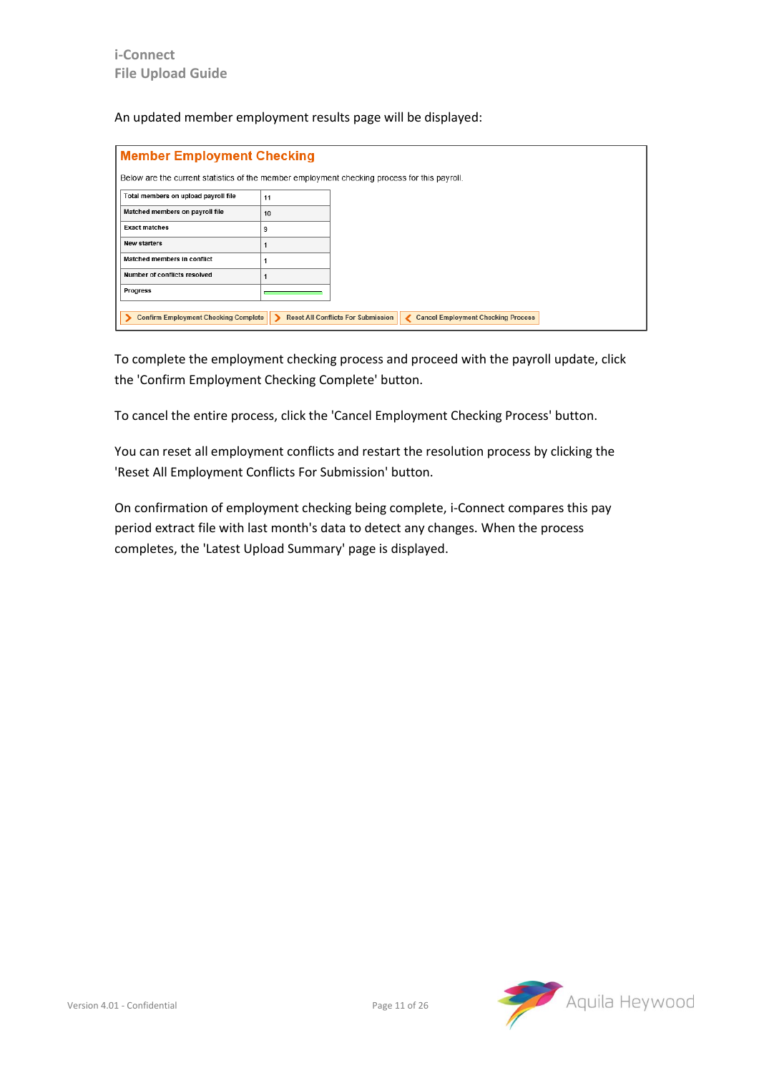An updated member employment results page will be displayed:

| <b>Member Employment Checking</b>                                                            |    |                                           |  |                                           |  |  |  |  |
|----------------------------------------------------------------------------------------------|----|-------------------------------------------|--|-------------------------------------------|--|--|--|--|
| Below are the current statistics of the member employment checking process for this payroll. |    |                                           |  |                                           |  |  |  |  |
| Total members on upload payroll file                                                         | 11 |                                           |  |                                           |  |  |  |  |
| Matched members on payroll file                                                              | 10 |                                           |  |                                           |  |  |  |  |
| <b>Exact matches</b>                                                                         | 9  |                                           |  |                                           |  |  |  |  |
| <b>New starters</b>                                                                          |    |                                           |  |                                           |  |  |  |  |
| Matched members in conflict                                                                  |    |                                           |  |                                           |  |  |  |  |
| Number of conflicts resolved                                                                 |    |                                           |  |                                           |  |  |  |  |
| Progress                                                                                     |    |                                           |  |                                           |  |  |  |  |
| <b>Confirm Employment Checking Complete</b>                                                  |    | <b>Reset All Conflicts For Submission</b> |  | <b>Cancel Employment Checking Process</b> |  |  |  |  |
|                                                                                              |    |                                           |  |                                           |  |  |  |  |

To complete the employment checking process and proceed with the payroll update, click the 'Confirm Employment Checking Complete' button.

To cancel the entire process, click the 'Cancel Employment Checking Process' button.

You can reset all employment conflicts and restart the resolution process by clicking the 'Reset All Employment Conflicts For Submission' button.

On confirmation of employment checking being complete, i-Connect compares this pay period extract file with last month's data to detect any changes. When the process completes, the 'Latest Upload Summary' page is displayed.

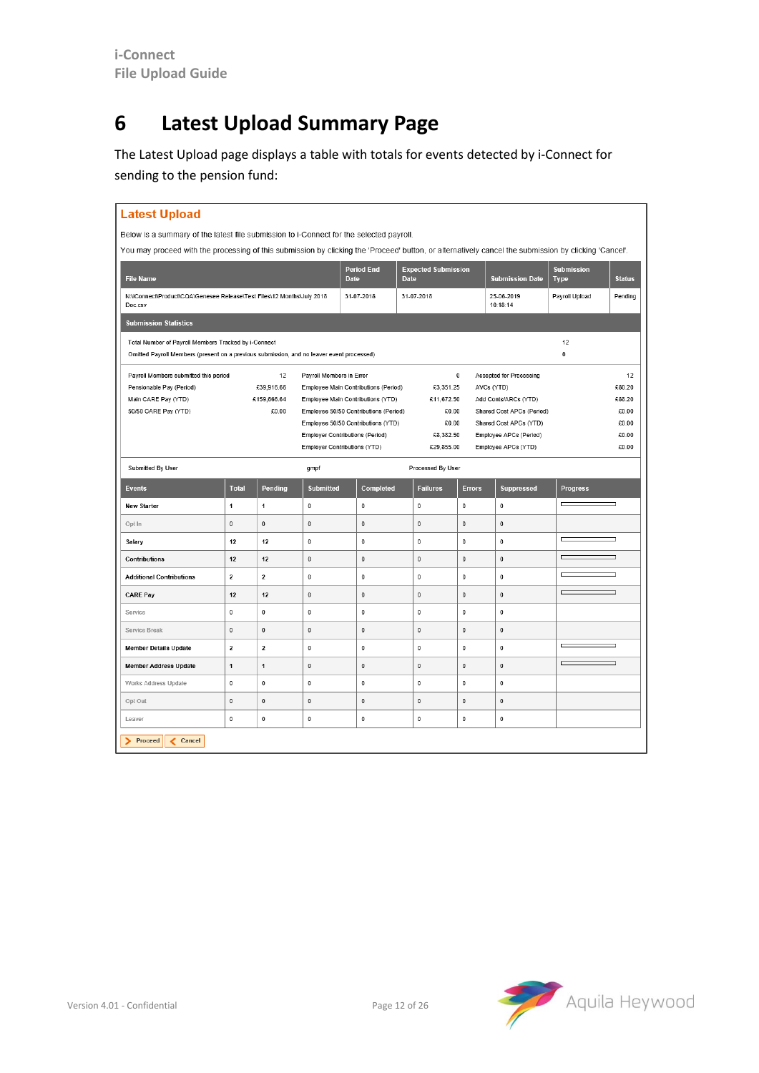### <span id="page-11-0"></span>**6 Latest Upload Summary Page**

The Latest Upload page displays a table with totals for events detected by i-Connect for sending to the pension fund:

| <b>Latest Upload</b>                                                                                                                                  |                         |                      |                              |                                                                               |              |                     |               |                                                   |                                  |                 |
|-------------------------------------------------------------------------------------------------------------------------------------------------------|-------------------------|----------------------|------------------------------|-------------------------------------------------------------------------------|--------------|---------------------|---------------|---------------------------------------------------|----------------------------------|-----------------|
| Below is a summary of the latest file submission to i-Connect for the selected payroll.                                                               |                         |                      |                              |                                                                               |              |                     |               |                                                   |                                  |                 |
| You may proceed with the processing of this submission by clicking the 'Proceed' button, or alternatively cancel the submission by clicking 'Cancel'. |                         |                      |                              |                                                                               |              |                     |               |                                                   |                                  |                 |
| <b>File Name</b>                                                                                                                                      |                         |                      |                              | <b>Period End</b><br><b>Expected Submission</b><br><b>Date</b><br><b>Date</b> |              |                     |               | <b>Submission Date</b>                            | <b>Submission</b><br><b>Type</b> | <b>Status</b>   |
| N:\iConnect\Product\CQA\Genesee Release\Test Files\12 Months\July 2018<br>Doc.csv                                                                     |                         |                      |                              | 31-07-2018                                                                    | 31-07-2018   |                     |               | 25-06-2019<br>10:18:14                            | Payroll Upload                   | Pending         |
| <b>Submission Statistics</b>                                                                                                                          |                         |                      |                              |                                                                               |              |                     |               |                                                   |                                  |                 |
| Total Number of Payroll Members Tracked by i-Connect<br>Omitted Payroll Members (present on a previous submission, and no leaver event processed)     |                         |                      |                              |                                                                               |              |                     |               |                                                   | 12<br>0                          |                 |
| Payroll Members submitted this period                                                                                                                 |                         | 12                   | Payroll Members in Error     |                                                                               |              | $\bf{0}$            |               | Accepted for Processing                           |                                  | 12              |
| Pensionable Pay (Period)                                                                                                                              |                         | £39,916.66           |                              | Employee Main Contributions (Period)                                          |              | £3,351.25           |               | AVCs (YTD)                                        |                                  | £80.20          |
| Main CARE Pay (YTD)<br>50/50 CARE Pay (YTD)                                                                                                           |                         | £159,666.64<br>£0.00 |                              | Employee Main Contributions (YTD)<br>Employee 50/50 Contributions (Period)    |              | £11,672.50<br>£0.00 |               | Add Conts/ARCs (YTD)<br>Shared Cost APCs (Period) |                                  | £88.20<br>£0.00 |
|                                                                                                                                                       |                         |                      |                              | Employee 50/50 Contributions (YTD)                                            |              | £0.00               |               | Shared Cost APCs (YTD)                            |                                  | £0.00           |
|                                                                                                                                                       |                         |                      |                              | <b>Employer Contributions (Period)</b>                                        |              | £8,382.50           |               | Employee APCs (Period)                            |                                  | £0.00           |
|                                                                                                                                                       |                         |                      | Employer Contributions (YTD) |                                                                               |              | £29,855.00          |               | Employee APCs (YTD)                               |                                  | £0.00           |
| Submitted By User                                                                                                                                     |                         |                      | gmpf                         |                                                                               |              | Processed By User   |               |                                                   |                                  |                 |
| <b>Events</b>                                                                                                                                         | <b>Total</b>            | Pending              | <b>Submitted</b>             | Completed                                                                     |              | <b>Failures</b>     | <b>Errors</b> | <b>Suppressed</b>                                 | <b>Progress</b>                  |                 |
| <b>New Starter</b>                                                                                                                                    | 1                       | 1                    | $\mathbf 0$                  | 0                                                                             | $\bf{0}$     |                     | $\mathbf 0$   | 0                                                 |                                  |                 |
| Opt In                                                                                                                                                | $\pmb{0}$               | $\mathbf{0}$         | $\mathbf{0}$                 | $\pmb{0}$                                                                     | $\mathbf{0}$ |                     | $\mathbf{0}$  | $\pmb{0}$                                         |                                  |                 |
| Salary                                                                                                                                                | 12                      | 12                   | $\mathbf 0$                  | $\bf{0}$                                                                      | $\mathbf 0$  |                     | $\mathbf 0$   | $\bf{0}$                                          |                                  |                 |
| Contributions                                                                                                                                         | 12                      | 12                   | $\pmb{0}$                    | $\pmb{0}$                                                                     | $\pmb{0}$    |                     | $\mathbf{0}$  | $\pmb{0}$                                         |                                  | ┑               |
| <b>Additional Contributions</b>                                                                                                                       | $\overline{\mathbf{2}}$ | $\overline{2}$       | $\mathbf 0$                  | $\pmb{0}$                                                                     | $\mathbf 0$  |                     | $\mathbf 0$   | $\mathbf{0}$                                      |                                  | h               |
| <b>CARE Pay</b>                                                                                                                                       | 12                      | 12                   | $\pmb{0}$                    | 0                                                                             | $\pmb{0}$    |                     | $\mathbf 0$   | $\bf{0}$                                          |                                  |                 |
| Service                                                                                                                                               | $\bf{0}$                | $\mathbf 0$          | $\mathbf 0$                  | $\mathbf 0$                                                                   | $\bf{0}$     |                     | $\mathbf 0$   | $\bf{0}$                                          |                                  |                 |
| Service Break                                                                                                                                         | $\pmb{0}$               | $\pmb{0}$            | $\pmb{0}$                    | $\pmb{0}$                                                                     | $\pmb{0}$    |                     | $\pmb{0}$     | $\pmb{0}$                                         |                                  |                 |
| <b>Member Details Update</b>                                                                                                                          | $\mathbf 2$             | $\mathbf 2$          | $\mathbf 0$                  | 0                                                                             | $\pmb{0}$    |                     | $\mathbf 0$   | $\bf{0}$                                          |                                  |                 |
| <b>Member Address Update</b>                                                                                                                          | $\mathbf{1}$            | $\mathbf{1}$         | $\pmb{0}$                    | 0                                                                             | $\pmb{0}$    |                     | $\mathbf{0}$  | 0                                                 |                                  | ┑               |
| Works Address Update                                                                                                                                  | $\pmb{0}$               | $\pmb{0}$            | $\pmb{0}$                    | 0                                                                             | $\pmb{0}$    |                     | $\mathbf{0}$  | 0                                                 |                                  |                 |
| Opt Out                                                                                                                                               | $\mathbf 0$             | $\pmb{0}$            | $\mathbf 0$                  | 0                                                                             | $\pmb{0}$    |                     | $\mathbf 0$   | $\pmb{0}$                                         |                                  |                 |
| Leaver                                                                                                                                                | $\pmb{0}$               | $\mathbf 0$          | $\pmb{0}$                    | $\pmb{0}$                                                                     | $\pmb{0}$    |                     | $\pmb{0}$     | 0                                                 |                                  |                 |
| Proceed<br>Cancel                                                                                                                                     |                         |                      |                              |                                                                               |              |                     |               |                                                   |                                  |                 |

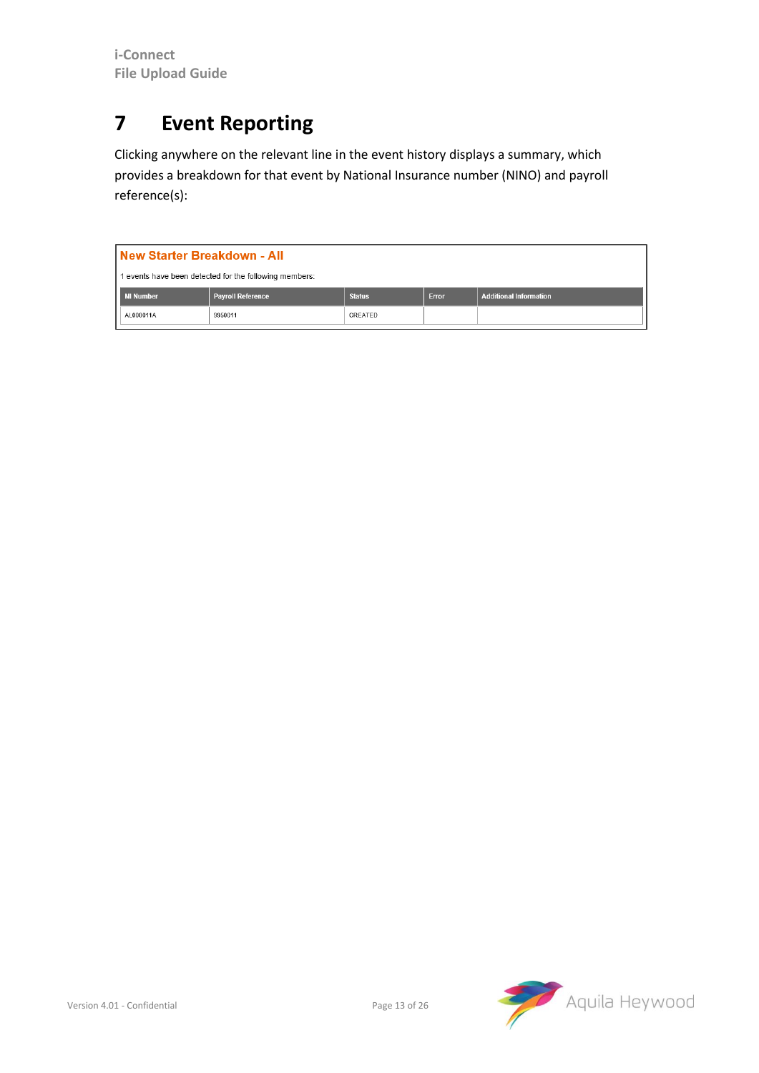### <span id="page-12-0"></span>**7 Event Reporting**

Clicking anywhere on the relevant line in the event history displays a summary, which provides a breakdown for that event by National Insurance number (NINO) and payroll reference(s):

|                                                                                                                | New Starter Breakdown - All                            |  |  |  |  |  |  |  |  |  |
|----------------------------------------------------------------------------------------------------------------|--------------------------------------------------------|--|--|--|--|--|--|--|--|--|
|                                                                                                                | 1 events have been detected for the following members: |  |  |  |  |  |  |  |  |  |
| <b>Payroll Reference</b><br><b>Status</b><br><b>Additional Information</b><br><b>Error</b><br><b>NI Number</b> |                                                        |  |  |  |  |  |  |  |  |  |
| AL000011A<br>CREATED<br>9950011                                                                                |                                                        |  |  |  |  |  |  |  |  |  |

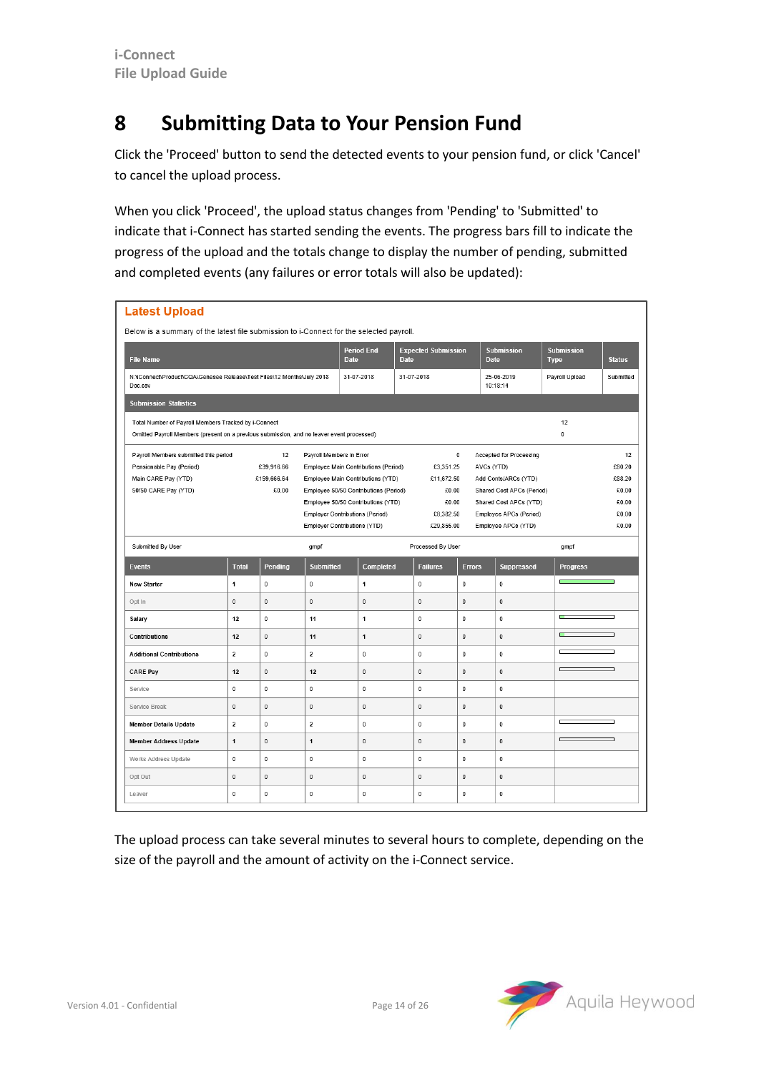#### <span id="page-13-0"></span>**8 Submitting Data to Your Pension Fund**

Click the 'Proceed' button to send the detected events to your pension fund, or click 'Cancel' to cancel the upload process.

When you click 'Proceed', the upload status changes from 'Pending' to 'Submitted' to indicate that i-Connect has started sending the events. The progress bars fill to indicate the progress of the upload and the totals change to display the number of pending, submitted and completed events (any failures or error totals will also be updated):

| <b>Latest Upload</b>                                                                                                                                         |                |                                                                                                                                                                                                                                                                                                                                                       |                                           |              |  |                                                                                                                                                                              |                                  |                                                            |                 |   |
|--------------------------------------------------------------------------------------------------------------------------------------------------------------|----------------|-------------------------------------------------------------------------------------------------------------------------------------------------------------------------------------------------------------------------------------------------------------------------------------------------------------------------------------------------------|-------------------------------------------|--------------|--|------------------------------------------------------------------------------------------------------------------------------------------------------------------------------|----------------------------------|------------------------------------------------------------|-----------------|---|
| Below is a summary of the latest file submission to i-Connect for the selected payroll.                                                                      |                |                                                                                                                                                                                                                                                                                                                                                       |                                           |              |  |                                                                                                                                                                              |                                  |                                                            |                 |   |
| <b>File Name</b>                                                                                                                                             |                | <b>Period End</b><br><b>Date</b>                                                                                                                                                                                                                                                                                                                      | <b>Expected Submission</b><br><b>Date</b> |              |  | <b>Submission</b><br><b>Date</b>                                                                                                                                             | <b>Submission</b><br><b>Type</b> | <b>Status</b>                                              |                 |   |
| N:\iConnect\Product\CQA\Genesee Release\Test Files\12 Months\July 2018<br>Doc.csv                                                                            |                | 31-07-2018                                                                                                                                                                                                                                                                                                                                            |                                           | 31-07-2018   |  | 25-06-2019<br>10:18:14                                                                                                                                                       | Payroll Upload                   | Submitted                                                  |                 |   |
| <b>Submission Statistics</b>                                                                                                                                 |                |                                                                                                                                                                                                                                                                                                                                                       |                                           |              |  |                                                                                                                                                                              |                                  |                                                            |                 |   |
| Total Number of Payroll Members Tracked by i-Connect<br>12<br>0<br>Omitted Payroll Members (present on a previous submission, and no leaver event processed) |                |                                                                                                                                                                                                                                                                                                                                                       |                                           |              |  |                                                                                                                                                                              |                                  |                                                            |                 |   |
| Payroll Members submitted this period<br>Pensionable Pay (Period)<br>Main CARE Pay (YTD)<br>50/50 CARE Pay (YTD)                                             |                | Payroll Members in Error<br>$\mathbf 0$<br>Employee Main Contributions (Period)<br>£3,351.25<br>Employee Main Contributions (YTD)<br>£11,672.50<br>Employee 50/50 Contributions (Period)<br>€0.00<br>Employee 50/50 Contributions (YTD)<br>£0.00<br><b>Employer Contributions (Period)</b><br>€8,382.50<br>Employer Contributions (YTD)<br>€29,855.00 |                                           |              |  | <b>Accepted for Processing</b><br>AVCs (YTD)<br>Add Conts/ARCs (YTD)<br>Shared Cost APCs (Period)<br>Shared Cost APCs (YTD)<br>Employee APCs (Period)<br>Employee APCs (YTD) |                                  | 12<br>£80.20<br>£88.20<br>€0.00<br>£0.00<br>€0.00<br>€0.00 |                 |   |
| Submitted By User                                                                                                                                            |                |                                                                                                                                                                                                                                                                                                                                                       | gmpf                                      |              |  | Processed By User                                                                                                                                                            |                                  |                                                            | gmpf            |   |
| <b>Events</b>                                                                                                                                                | <b>Total</b>   | Pending                                                                                                                                                                                                                                                                                                                                               | <b>Submitted</b>                          | Completed    |  | <b>Failures</b>                                                                                                                                                              | <b>Errors</b>                    | <b>Suppressed</b>                                          | <b>Progress</b> |   |
| <b>New Starter</b>                                                                                                                                           | $\mathbf{1}$   | 0                                                                                                                                                                                                                                                                                                                                                     | $\pmb{0}$                                 | 1            |  | $\bf{0}$                                                                                                                                                                     | $\bf{0}$                         | $\bf 0$                                                    |                 |   |
| Opt In                                                                                                                                                       | $\pmb{0}$      | 0                                                                                                                                                                                                                                                                                                                                                     | $\pmb{0}$                                 | $\pmb{0}$    |  | $\bf{0}$                                                                                                                                                                     | $\bf{0}$                         | $\pmb{0}$                                                  |                 |   |
| Salary                                                                                                                                                       | 12             | 0                                                                                                                                                                                                                                                                                                                                                     | 11                                        | $\mathbf{1}$ |  | $\pmb{0}$                                                                                                                                                                    | $\mathbf 0$                      | 0                                                          | ш               |   |
| Contributions                                                                                                                                                | 12             | 0                                                                                                                                                                                                                                                                                                                                                     | 11                                        | $\mathbf{1}$ |  | $\bf{0}$                                                                                                                                                                     | $\mathbf 0$                      | $\mathbf 0$                                                | п               |   |
| <b>Additional Contributions</b>                                                                                                                              | $\mathbf 2$    | 0                                                                                                                                                                                                                                                                                                                                                     | $\mathbf 2$                               | $\pmb{0}$    |  | $\pmb{0}$                                                                                                                                                                    | 0                                | 0                                                          | г               | ┑ |
| <b>CARE Pay</b>                                                                                                                                              | 12             | $\mathbf{0}$                                                                                                                                                                                                                                                                                                                                          | 12                                        | $\mathbf 0$  |  | $\bf{0}$                                                                                                                                                                     | $\mathbf 0$                      | 0                                                          | $\overline{ }$  | ┑ |
| Service                                                                                                                                                      | $\mathbf 0$    | $\mathbf 0$                                                                                                                                                                                                                                                                                                                                           | $\mathbf 0$                               | $\mathbf 0$  |  | 0                                                                                                                                                                            | $\mathbf 0$                      | $\mathbf 0$                                                |                 |   |
| Service Break                                                                                                                                                | $\mathbf 0$    | $\pmb{0}$                                                                                                                                                                                                                                                                                                                                             | $\mathbf{0}$                              | $\mathbf 0$  |  | $\mathbf{0}$                                                                                                                                                                 | $\mathbf{0}$                     | $\pmb{0}$                                                  |                 |   |
| <b>Member Details Update</b>                                                                                                                                 | $\overline{2}$ | 0                                                                                                                                                                                                                                                                                                                                                     | $\overline{2}$                            | $\mathbf 0$  |  | 0                                                                                                                                                                            | $\mathbf{0}$                     | $\mathbf 0$                                                |                 |   |
| <b>Member Address Update</b>                                                                                                                                 | $\mathbf{1}$   | $\mathbf{0}$                                                                                                                                                                                                                                                                                                                                          | $\mathbf{1}$                              | $\mathbf 0$  |  | $\mathbf 0$                                                                                                                                                                  | $\mathbf{0}$                     | $\mathbf 0$                                                |                 |   |
| Works Address Update                                                                                                                                         | $\mathbf 0$    | 0                                                                                                                                                                                                                                                                                                                                                     | $\mathbf 0$                               | $\mathbf 0$  |  | 0                                                                                                                                                                            | $\mathbf 0$                      | $\mathbf 0$                                                |                 |   |
| Opt Out                                                                                                                                                      | $\bf{0}$       | 0                                                                                                                                                                                                                                                                                                                                                     | $\mathbf{0}$                              | $\mathbf 0$  |  | $\bf{0}$                                                                                                                                                                     | $\mathbf 0$                      | $\mathbf 0$                                                |                 |   |
| Leaver                                                                                                                                                       | $\mathbf 0$    | 0                                                                                                                                                                                                                                                                                                                                                     | $\pmb{0}$                                 | $\pmb{0}$    |  | 0                                                                                                                                                                            | 0                                | $\bf 0$                                                    |                 |   |

The upload process can take several minutes to several hours to complete, depending on the size of the payroll and the amount of activity on the i-Connect service.

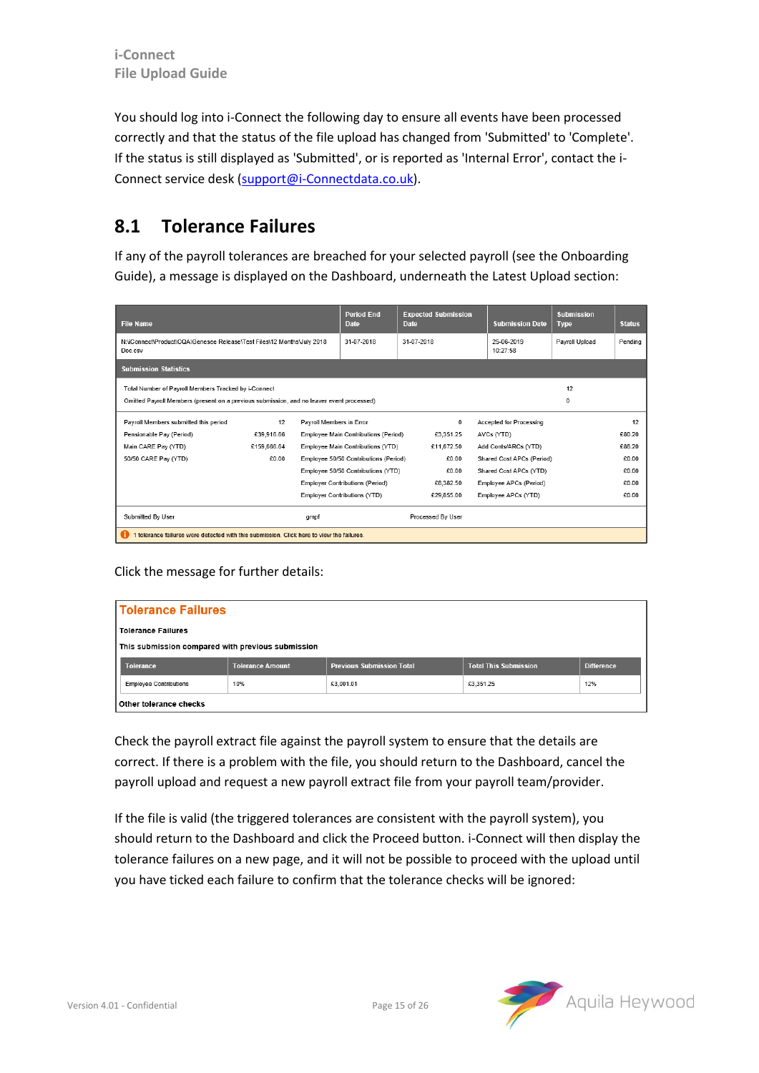You should log into i-Connect the following day to ensure all events have been processed correctly and that the status of the file upload has changed from 'Submitted' to 'Complete'. If the status is still displayed as 'Submitted', or is reported as 'Internal Error', contact the i-Connect service desk [\(support@i-Connectdata.co.uk\)](mailto:support@i-Connectdata.co.uk).

#### <span id="page-14-0"></span>**8.1 Tolerance Failures**

If any of the payroll tolerances are breached for your selected payroll (see the Onboarding Guide), a message is displayed on the Dashboard, underneath the Latest Upload section:

| <b>File Name</b>                                                                          |             |                          | <b>Period End</b><br><b>Date</b>      | <b>Expected Submission</b><br>Date |    | <b>Submission Date</b>         | <b>Submission</b><br><b>Type</b> | <b>Status</b> |  |  |
|-------------------------------------------------------------------------------------------|-------------|--------------------------|---------------------------------------|------------------------------------|----|--------------------------------|----------------------------------|---------------|--|--|
| N:\iConnect\Product\CQA\Genesee Release\Test Files\12 Months\July 2018<br>Doc.csv         |             |                          | 31-07-2018                            | 31-07-2018                         |    | 25-06-2019<br>10:27:58         | Pavroll Upload                   | Pending       |  |  |
| <b>Submission Statistics</b>                                                              |             |                          |                                       |                                    |    |                                |                                  |               |  |  |
| Total Number of Payroll Members Tracked by i-Connect                                      |             |                          |                                       |                                    | 12 |                                |                                  |               |  |  |
| Omitted Payroll Members (present on a previous submission, and no leaver event processed) |             |                          |                                       |                                    |    |                                | $\Omega$                         |               |  |  |
| Payroll Members submitted this period                                                     | 12          | Payroll Members in Error |                                       | $^{\circ}$                         |    | <b>Accepted for Processing</b> |                                  | 12            |  |  |
| Pensionable Pay (Period)                                                                  | €39.916.66  |                          | Employee Main Contributions (Period)  | £3.351.25                          |    | AVCs (YTD)                     |                                  | £80.20        |  |  |
| Main CARE Pay (YTD)                                                                       | £159,666.64 |                          | Employee Main Contributions (YTD)     | £11,672.50                         |    | Add Conts/ARCs (YTD)           |                                  | £88.20        |  |  |
| 50/50 CARE Pay (YTD)                                                                      | £0.00       |                          | Employee 50/50 Contributions (Period) | £0.00                              |    | Shared Cost APCs (Period)      |                                  | £0.00         |  |  |
|                                                                                           |             |                          | Employee 50/50 Contributions (YTD)    | £0.00                              |    | Shared Cost APCs (YTD)         |                                  | £0.00         |  |  |
|                                                                                           |             |                          | Employer Contributions (Period)       | £8,382.50                          |    | Employee APCs (Period)         |                                  | £0.00         |  |  |
|                                                                                           |             |                          | Employer Contributions (YTD)          | £29.855.00                         |    | Employee APCs (YTD)            |                                  | £0.00         |  |  |
| Submitted By User                                                                         |             | qmpf                     |                                       | Processed By User                  |    |                                |                                  |               |  |  |
| 1 tolerance failures were detected with this submission. Click here to view the failures. |             |                          |                                       |                                    |    |                                |                                  |               |  |  |

Click the message for further details:

| <b>Tolerance Failures</b>     |                                                   |                                  |                              |                   |  |  |  |  |
|-------------------------------|---------------------------------------------------|----------------------------------|------------------------------|-------------------|--|--|--|--|
| <b>Tolerance Failures</b>     |                                                   |                                  |                              |                   |  |  |  |  |
|                               | This submission compared with previous submission |                                  |                              |                   |  |  |  |  |
|                               |                                                   |                                  |                              |                   |  |  |  |  |
| <b>Tolerance</b>              | <b>Tolerance Amount</b>                           | <b>Previous Submission Total</b> | <b>Total This Submission</b> | <b>Difference</b> |  |  |  |  |
| <b>Employee Contributions</b> | 10%                                               | £3,001.01                        | £3,351.25                    | 12%               |  |  |  |  |

Check the payroll extract file against the payroll system to ensure that the details are correct. If there is a problem with the file, you should return to the Dashboard, cancel the payroll upload and request a new payroll extract file from your payroll team/provider.

If the file is valid (the triggered tolerances are consistent with the payroll system), you should return to the Dashboard and click the Proceed button. i-Connect will then display the tolerance failures on a new page, and it will not be possible to proceed with the upload until you have ticked each failure to confirm that the tolerance checks will be ignored:

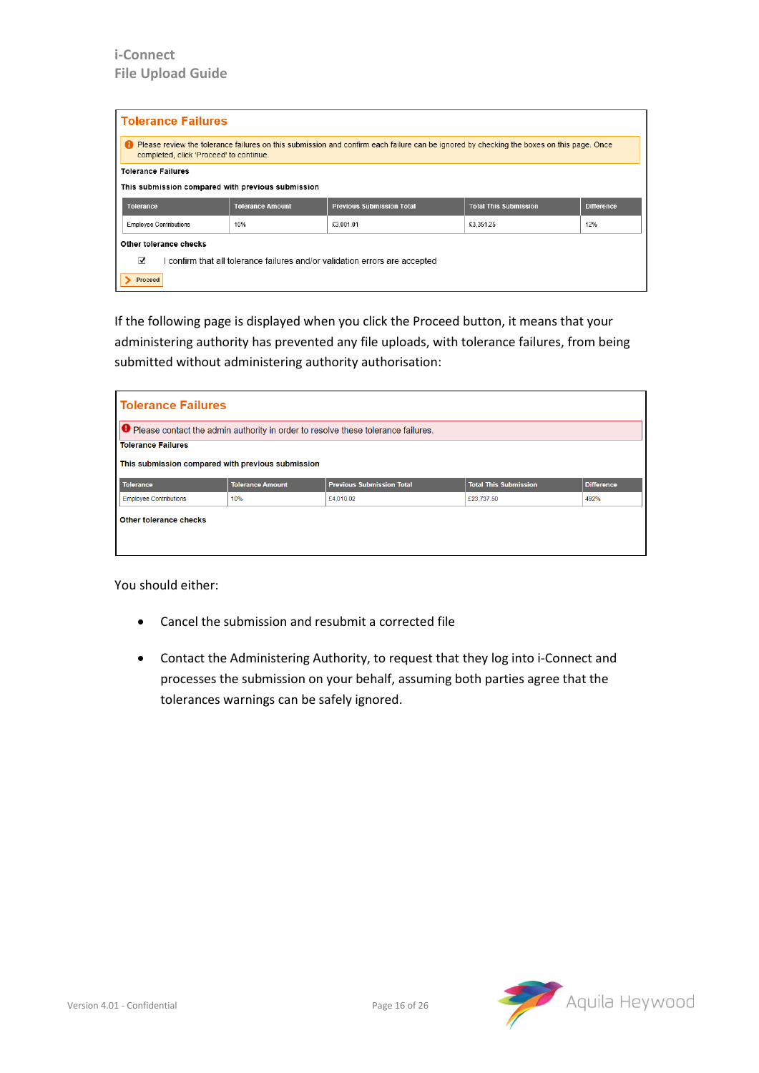| <b>Tolerance Failures</b>                                                        |                                                                                                                                                                                              |                                  |                              |                   |  |  |  |
|----------------------------------------------------------------------------------|----------------------------------------------------------------------------------------------------------------------------------------------------------------------------------------------|----------------------------------|------------------------------|-------------------|--|--|--|
|                                                                                  | <b>D</b> Please review the tolerance failures on this submission and confirm each failure can be ignored by checking the boxes on this page. Once<br>completed, click 'Proceed' to continue. |                                  |                              |                   |  |  |  |
| <b>Tolerance Failures</b>                                                        |                                                                                                                                                                                              |                                  |                              |                   |  |  |  |
|                                                                                  | This submission compared with previous submission                                                                                                                                            |                                  |                              |                   |  |  |  |
| <b>Tolerance</b>                                                                 | <b>Tolerance Amount</b>                                                                                                                                                                      | <b>Previous Submission Total</b> | <b>Total This Submission</b> | <b>Difference</b> |  |  |  |
| <b>Employee Contributions</b>                                                    | 10%                                                                                                                                                                                          | £3,001.01                        | £3,351.25                    | 12%               |  |  |  |
| Other tolerance checks                                                           |                                                                                                                                                                                              |                                  |                              |                   |  |  |  |
| ⊽<br>I confirm that all tolerance failures and/or validation errors are accepted |                                                                                                                                                                                              |                                  |                              |                   |  |  |  |
| Proceed                                                                          |                                                                                                                                                                                              |                                  |                              |                   |  |  |  |

If the following page is displayed when you click the Proceed button, it means that your administering authority has prevented any file uploads, with tolerance failures, from being submitted without administering authority authorisation:

| <b>Tolerance Failures</b>                         |                         |                                                                                           |                              |                   |  |  |  |
|---------------------------------------------------|-------------------------|-------------------------------------------------------------------------------------------|------------------------------|-------------------|--|--|--|
|                                                   |                         | <b>O</b> Please contact the admin authority in order to resolve these tolerance failures. |                              |                   |  |  |  |
| <b>Tolerance Failures</b>                         |                         |                                                                                           |                              |                   |  |  |  |
| This submission compared with previous submission |                         |                                                                                           |                              |                   |  |  |  |
| <b>Tolerance</b>                                  | <b>Tolerance Amount</b> | <b>Previous Submission Total</b>                                                          | <b>Total This Submission</b> | <b>Difference</b> |  |  |  |
| <b>Employee Contributions</b>                     | 10%                     | £4,010.02                                                                                 | £23,737.50                   | 492%              |  |  |  |
| Other tolerance checks                            |                         |                                                                                           |                              |                   |  |  |  |

You should either:

- Cancel the submission and resubmit a corrected file
- Contact the Administering Authority, to request that they log into i-Connect and processes the submission on your behalf, assuming both parties agree that the tolerances warnings can be safely ignored.

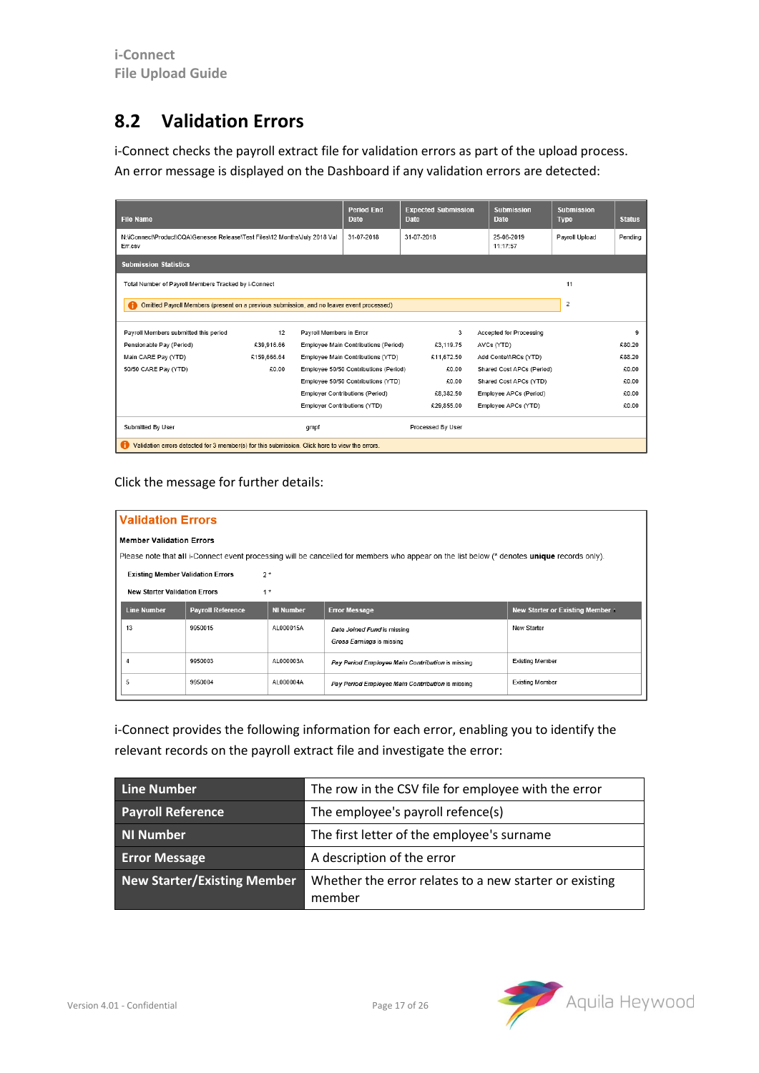#### <span id="page-16-0"></span>**8.2 Validation Errors**

i-Connect checks the payroll extract file for validation errors as part of the upload process. An error message is displayed on the Dashboard if any validation errors are detected:

| <b>File Name</b>                                                                               |             |                          | <b>Period End</b><br><b>Date</b>      | <b>Expected Submission</b><br><b>Date</b> | <b>Submission</b><br><b>Date</b> | <b>Submission</b><br><b>Type</b> | <b>Status</b> |
|------------------------------------------------------------------------------------------------|-------------|--------------------------|---------------------------------------|-------------------------------------------|----------------------------------|----------------------------------|---------------|
| N:\iConnect\Product\CQA\Genesee Release\Test Files\12 Months\July 2018 Val<br>Err.csv          |             |                          | 31-07-2018                            | 31-07-2018                                | 25-06-2019<br>11:17:57           | Payroll Upload                   | Pending       |
| <b>Submission Statistics</b>                                                                   |             |                          |                                       |                                           |                                  |                                  |               |
| Total Number of Payroll Members Tracked by i-Connect                                           |             |                          |                                       |                                           |                                  | 11                               |               |
| Omitted Payroll Members (present on a previous submission, and no leaver event processed)      |             |                          |                                       |                                           |                                  | $\overline{2}$                   |               |
| Pavroll Members submitted this period                                                          | 12          | Pavroll Members in Error |                                       | 3                                         | Accepted for Processing          |                                  | 9             |
| Pensionable Pay (Period)                                                                       | £39,916.66  |                          | Employee Main Contributions (Period)  | £3,119.75                                 | AVCs (YTD)                       |                                  | £80.20        |
| Main CARE Pay (YTD)                                                                            | £159,666.64 |                          | Employee Main Contributions (YTD)     | €11.672.50                                | Add Conts/ARCs (YTD)             |                                  | £88.20        |
| 50/50 CARE Pay (YTD)                                                                           | £0.00       |                          | Employee 50/50 Contributions (Period) | €0.00                                     | Shared Cost APCs (Period)        |                                  | £0.00         |
|                                                                                                |             |                          | Employee 50/50 Contributions (YTD)    | £0.00                                     | Shared Cost APCs (YTD)           |                                  | £0.00         |
|                                                                                                |             |                          | Employer Contributions (Period)       | €8.382.50                                 | Employee APCs (Period)           |                                  | €0.00         |
|                                                                                                |             |                          | Employer Contributions (YTD)          | £29,855.00                                | Employee APCs (YTD)              |                                  | £0.00         |
| Submitted By User                                                                              |             | gmpf                     |                                       | Processed By User                         |                                  |                                  |               |
| Validation errors detected for 3 member(s) for this submission. Click here to view the errors. |             |                          |                                       |                                           |                                  |                                  |               |

#### Click the message for further details:

| <b>Validation Errors</b>                                                                                                                    |                          |                  |                                                          |                                  |  |  |  |  |  |
|---------------------------------------------------------------------------------------------------------------------------------------------|--------------------------|------------------|----------------------------------------------------------|----------------------------------|--|--|--|--|--|
| <b>Member Validation Errors</b>                                                                                                             |                          |                  |                                                          |                                  |  |  |  |  |  |
| Please note that all i-Connect event processing will be cancelled for members who appear on the list below (* denotes unique records only). |                          |                  |                                                          |                                  |  |  |  |  |  |
| <b>Existing Member Validation Errors</b>                                                                                                    | $2*$                     |                  |                                                          |                                  |  |  |  |  |  |
| <b>New Starter Validation Errors</b>                                                                                                        | $1*$                     |                  |                                                          |                                  |  |  |  |  |  |
| <b>Line Number</b>                                                                                                                          | <b>Payroll Reference</b> | <b>NI Number</b> | <b>Error Message</b>                                     | New Starter or Existing Member & |  |  |  |  |  |
| 13                                                                                                                                          | 9950015                  | AL000015A        | Date Joined Fund is missing<br>Gross Earnings is missing | New Starter                      |  |  |  |  |  |
| 4                                                                                                                                           | 9950003                  | AL000003A        | Pay Period Employee Main Contribution is missing         | <b>Existing Member</b>           |  |  |  |  |  |
| 5                                                                                                                                           | 9950004                  | AL000004A        | Pay Period Employee Main Contribution is missing         | <b>Existing Member</b>           |  |  |  |  |  |

i-Connect provides the following information for each error, enabling you to identify the relevant records on the payroll extract file and investigate the error:

| Line Number                        | The row in the CSV file for employee with the error              |
|------------------------------------|------------------------------------------------------------------|
| <b>Payroll Reference</b>           | The employee's payroll refence(s)                                |
| NI Number                          | The first letter of the employee's surname                       |
| <b>Error Message</b>               | A description of the error                                       |
| <b>New Starter/Existing Member</b> | Whether the error relates to a new starter or existing<br>member |

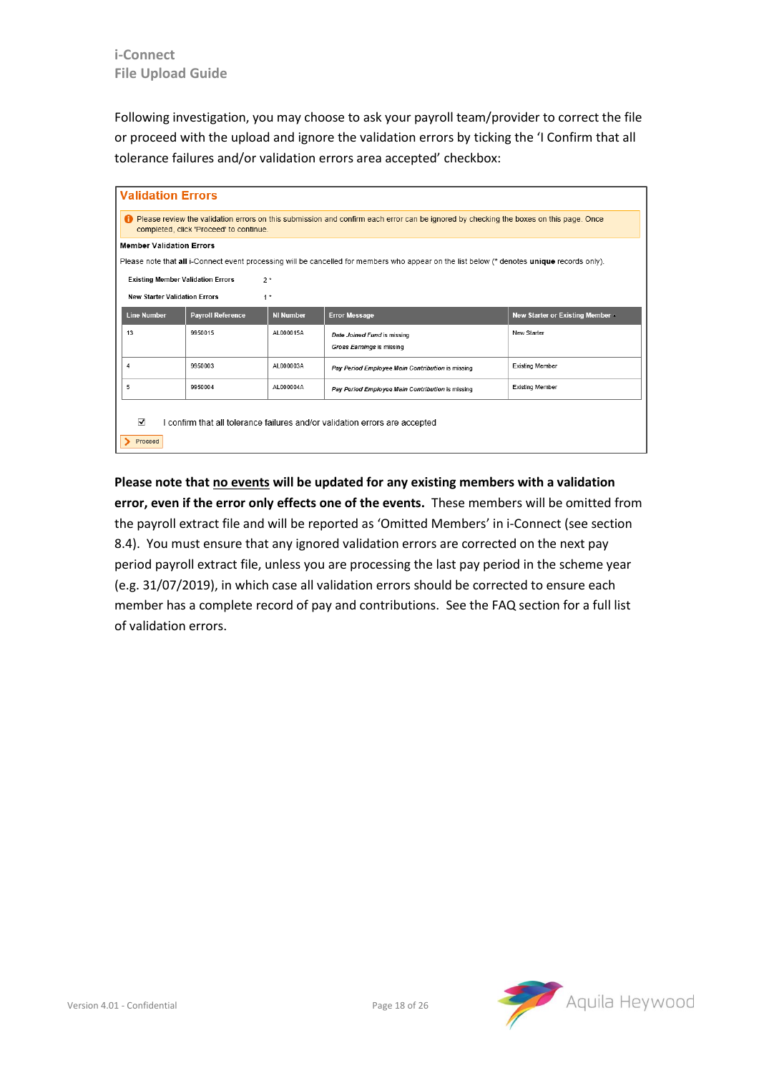Following investigation, you may choose to ask your payroll team/provider to correct the file or proceed with the upload and ignore the validation errors by ticking the 'I Confirm that all tolerance failures and/or validation errors area accepted' checkbox:

|                                                                                                                                                                                           | <b>Validation Errors</b>                                                    |                  |                                                                                                                                             |                                  |  |  |  |  |  |
|-------------------------------------------------------------------------------------------------------------------------------------------------------------------------------------------|-----------------------------------------------------------------------------|------------------|---------------------------------------------------------------------------------------------------------------------------------------------|----------------------------------|--|--|--|--|--|
| <b>•</b> Please review the validation errors on this submission and confirm each error can be ignored by checking the boxes on this page. Once<br>completed, click 'Proceed' to continue. |                                                                             |                  |                                                                                                                                             |                                  |  |  |  |  |  |
| <b>Member Validation Errors</b>                                                                                                                                                           |                                                                             |                  |                                                                                                                                             |                                  |  |  |  |  |  |
|                                                                                                                                                                                           |                                                                             |                  | Please note that all i-Connect event processing will be cancelled for members who appear on the list below (* denotes unique records only). |                                  |  |  |  |  |  |
|                                                                                                                                                                                           | <b>Existing Member Validation Errors</b><br>$2*$                            |                  |                                                                                                                                             |                                  |  |  |  |  |  |
|                                                                                                                                                                                           | <b>New Starter Validation Errors</b>                                        | $1*$             |                                                                                                                                             |                                  |  |  |  |  |  |
| <b>Line Number</b>                                                                                                                                                                        | <b>Payroll Reference</b>                                                    | <b>NI Number</b> | <b>Error Message</b>                                                                                                                        | New Starter or Existing Member A |  |  |  |  |  |
| 13                                                                                                                                                                                        | 9950015                                                                     | AL000015A        | Date Joined Fund is missing                                                                                                                 | New Starter                      |  |  |  |  |  |
|                                                                                                                                                                                           |                                                                             |                  | Gross Earnings is missing                                                                                                                   |                                  |  |  |  |  |  |
| 4                                                                                                                                                                                         | 9950003                                                                     | AL000003A        | Pay Period Employee Main Contribution is missing                                                                                            | <b>Existing Member</b>           |  |  |  |  |  |
| 5                                                                                                                                                                                         | 9950004                                                                     | AL000004A        | Pay Period Employee Main Contribution is missing                                                                                            | <b>Existing Member</b>           |  |  |  |  |  |
| ⊽<br>Proceed                                                                                                                                                                              | I confirm that all tolerance failures and/or validation errors are accepted |                  |                                                                                                                                             |                                  |  |  |  |  |  |

**Please note that no events will be updated for any existing members with a validation error, even if the error only effects one of the events.** These members will be omitted from the payroll extract file and will be reported as 'Omitted Members' in i-Connect (see section [8.4\)](#page-19-0). You must ensure that any ignored validation errors are corrected on the next pay period payroll extract file, unless you are processing the last pay period in the scheme year (e.g. 31/07/2019), in which case all validation errors should be corrected to ensure each member has a complete record of pay and contributions. See the FAQ section for a full list of validation errors.

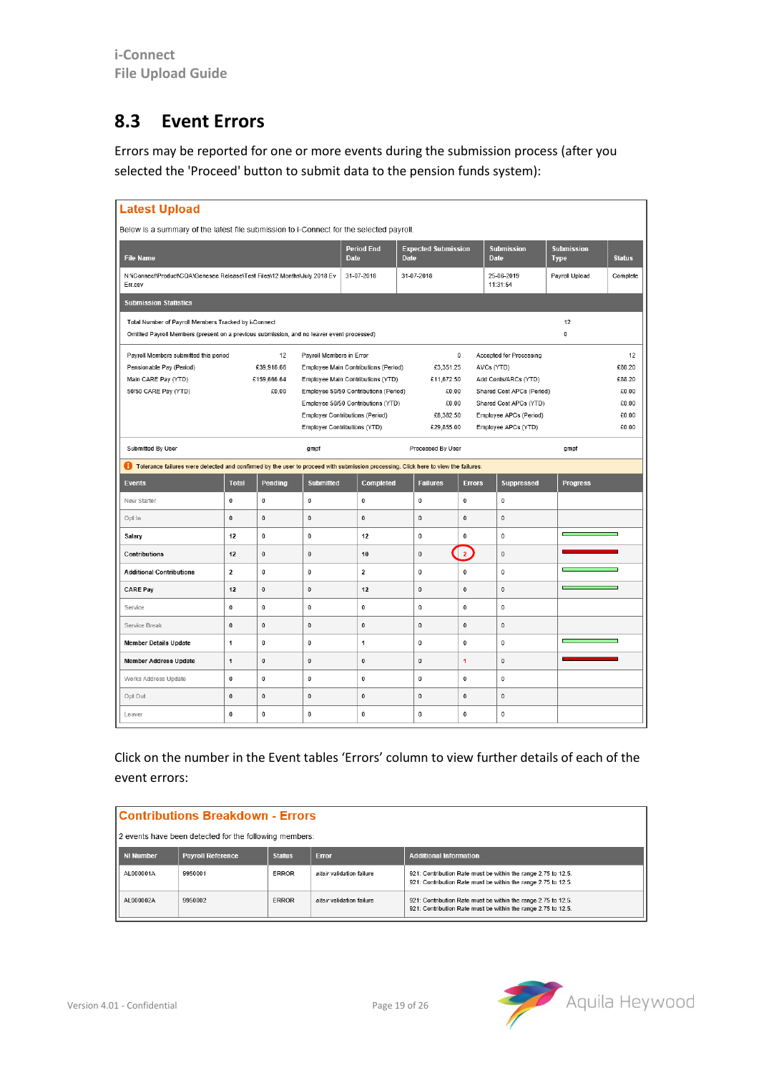#### <span id="page-18-0"></span>**8.3 Event Errors**

Errors may be reported for one or more events during the submission process (after you selected the 'Proceed' button to submit data to the pension funds system):

| <b>Latest Upload</b>                                                                                                                              |                         |                      |                              |                                                                             |                                           |                |                                                     |                                  |                 |
|---------------------------------------------------------------------------------------------------------------------------------------------------|-------------------------|----------------------|------------------------------|-----------------------------------------------------------------------------|-------------------------------------------|----------------|-----------------------------------------------------|----------------------------------|-----------------|
| Below is a summary of the latest file submission to i-Connect for the selected payroll.                                                           |                         |                      |                              |                                                                             |                                           |                |                                                     |                                  |                 |
| <b>File Name</b>                                                                                                                                  |                         |                      |                              | <b>Period End</b><br><b>Date</b>                                            | <b>Expected Submission</b><br><b>Date</b> |                | <b>Submission</b><br><b>Date</b>                    | <b>Submission</b><br><b>Type</b> | <b>Status</b>   |
| N:\iConnect\Product\CQA\Genesee Release\Test Files\12 Months\July 2018 Ev<br>Err.csv                                                              |                         |                      |                              | 31-07-2018                                                                  | 31-07-2018                                |                | 25-06-2019<br>11:31:54                              | Payroll Upload                   | Complete        |
| <b>Submission Statistics</b>                                                                                                                      |                         |                      |                              |                                                                             |                                           |                |                                                     |                                  |                 |
| Total Number of Payroll Members Tracked by i-Connect<br>Omitted Payroll Members (present on a previous submission, and no leaver event processed) |                         |                      |                              |                                                                             |                                           |                |                                                     | 12<br>$\mathbf 0$                |                 |
| Payroll Members submitted this period                                                                                                             |                         | 12                   | Payroll Members in Error     |                                                                             |                                           | $\mathbf 0$    | Accepted for Processing                             |                                  | 12              |
| Pensionable Pay (Period)                                                                                                                          |                         | £39,916.66           |                              | Employee Main Contributions (Period)                                        | £3,351.25                                 |                | AVCs (YTD)                                          |                                  | £80.20          |
| Main CARE Pay (YTD)<br>50/50 CARE Pay (YTD)                                                                                                       |                         | €159,666.64<br>€0.00 |                              | Employee Main Contributions (YTD)                                           | €11,672.50<br>€0.00                       |                | Add Conts/ARCs (YTD)                                |                                  | £88.20<br>€0.00 |
|                                                                                                                                                   |                         |                      |                              | Employee 50/50 Contributions (Period)<br>Employee 50/50 Contributions (YTD) | €0.00                                     |                | Shared Cost APCs (Period)<br>Shared Cost APCs (YTD) |                                  | €0.00           |
|                                                                                                                                                   |                         |                      |                              | <b>Employer Contributions (Period)</b>                                      | €8,382.50                                 |                | Employee APCs (Period)                              |                                  | €0.00           |
|                                                                                                                                                   |                         |                      | Employer Contributions (YTD) |                                                                             | €29,855.00                                |                | Employee APCs (YTD)                                 |                                  | £0.00           |
| Submitted By User                                                                                                                                 |                         |                      | gmpf                         |                                                                             | Processed By User                         |                |                                                     | gmpf                             |                 |
| Tolerance failures were detected and confirmed by the user to proceed with submission processing. Click here to view the failures.                |                         |                      |                              |                                                                             |                                           |                |                                                     |                                  |                 |
| <b>Events</b>                                                                                                                                     | <b>Total</b>            | Pending              | <b>Submitted</b>             | Completed                                                                   | <b>Failures</b>                           | <b>Errors</b>  | <b>Suppressed</b>                                   | <b>Progress</b>                  |                 |
|                                                                                                                                                   |                         |                      |                              |                                                                             |                                           |                |                                                     |                                  |                 |
| New Starter                                                                                                                                       | 0                       | 0                    | $\bf{0}$                     | $\mathbf 0$                                                                 | $\mathbf 0$                               | $\mathbf 0$    | $\mathbf 0$                                         |                                  |                 |
| Opt In                                                                                                                                            | $\mathbf 0$             | 0                    | $\bf{0}$                     | $\pmb{0}$                                                                   | $\mathbf 0$                               | $\mathbf 0$    | $\pmb{0}$                                           |                                  |                 |
| Salarv                                                                                                                                            | 12                      | 0                    | 0                            | 12                                                                          | $\mathbf 0$                               | 0              | $\mathbf{0}$                                        |                                  |                 |
| Contributions                                                                                                                                     | 12                      | $\bf{0}$             | $\bf{0}$                     | 10                                                                          | $\mathbf 0$                               | $\overline{2}$ | $\mathbf 0$                                         |                                  |                 |
| <b>Additional Contributions</b>                                                                                                                   | $\overline{\mathbf{2}}$ | 0                    | 0                            | $\mathbf 2$                                                                 | $\pmb{0}$                                 | 0              | $\mathbf 0$                                         |                                  |                 |
| <b>CARE Pay</b>                                                                                                                                   | 12                      | $\bf{0}$             | $\bf{0}$                     | 12                                                                          | $\mathbf 0$                               | $\mathbf 0$    | $\mathbf 0$                                         |                                  |                 |
| Service                                                                                                                                           | 0                       | 0                    | 0                            | 0                                                                           | $\pmb{0}$                                 | 0              | $\bf{0}$                                            |                                  |                 |
| Service Break                                                                                                                                     | 0                       | 0                    | 0                            | 0                                                                           | $\pmb{0}$                                 | 0              | $\pmb{0}$                                           |                                  |                 |
| <b>Member Details Update</b>                                                                                                                      | 1                       | 0                    | 0                            | 1                                                                           | $\pmb{0}$                                 | 0              | $\bf{0}$                                            |                                  |                 |
| <b>Member Address Update</b>                                                                                                                      | 1                       | 0                    | $\pmb{0}$                    | 0                                                                           | $\pmb{0}$                                 | 1              | $\pmb{0}$                                           |                                  |                 |
| Works Address Update                                                                                                                              | 0                       | 0                    | $\pmb{0}$                    | 0                                                                           | $\mathbf 0$                               | 0              | $\mathbf 0$                                         |                                  |                 |
| Opt Out                                                                                                                                           | $\pmb{0}$               | 0                    | 0                            | $\pmb{0}$                                                                   | $\pmb{0}$                                 | 0              | $\pmb{0}$                                           |                                  |                 |

Click on the number in the Event tables 'Errors' column to view further details of each of the event errors:

| <b>Contributions Breakdown - Errors</b>                |                          |               |                           |                                                                                                                                |  |  |  |  |
|--------------------------------------------------------|--------------------------|---------------|---------------------------|--------------------------------------------------------------------------------------------------------------------------------|--|--|--|--|
| 2 events have been detected for the following members: |                          |               |                           |                                                                                                                                |  |  |  |  |
| <b>NI Number</b>                                       | <b>Payroll Reference</b> | <b>Status</b> | <b>Error</b>              | <b>Additional Information</b>                                                                                                  |  |  |  |  |
| AL000001A                                              | 9950001                  | ERROR         | altair validation failure | 921: Contribution Rate must be within the range 2.75 to 12.5.<br>921: Contribution Rate must be within the range 2.75 to 12.5. |  |  |  |  |
| AL000002A                                              | 9950002                  | ERROR         | altair validation failure | 921: Contribution Rate must be within the range 2.75 to 12.5.<br>921: Contribution Rate must be within the range 2.75 to 12.5. |  |  |  |  |

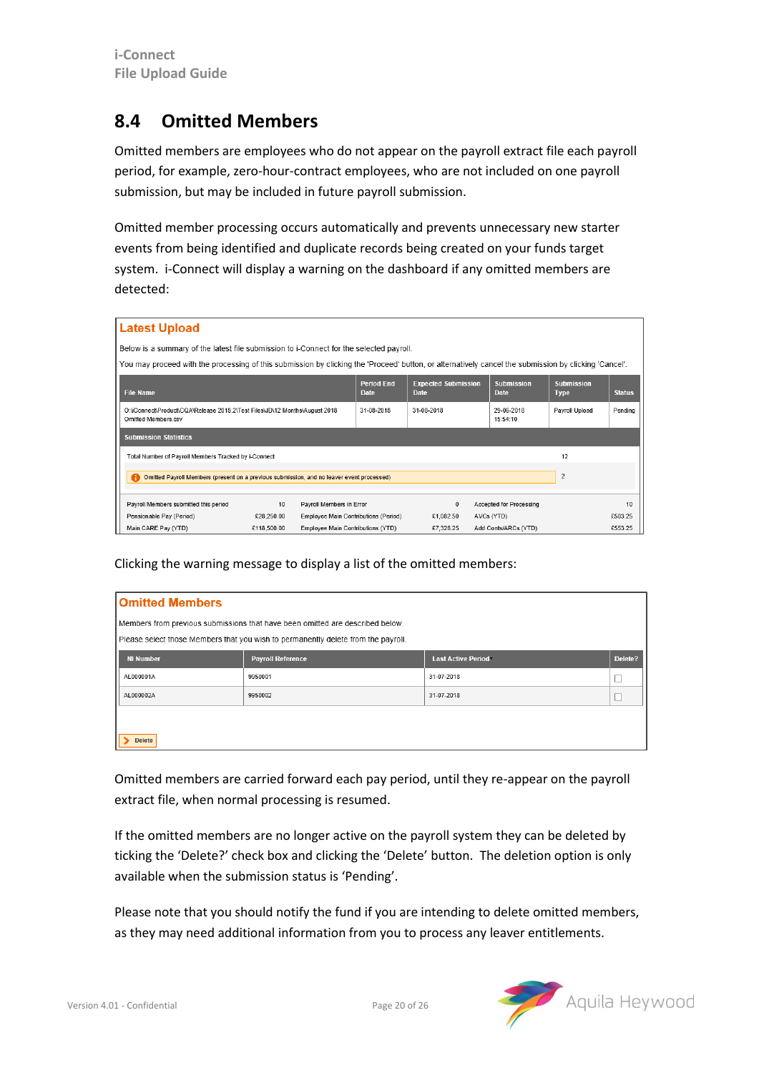#### <span id="page-19-0"></span>**8.4 Omitted Members**

Omitted members are employees who do not appear on the payroll extract file each payroll period, for example, zero-hour-contract employees, who are not included on one payroll submission, but may be included in future payroll submission.

Omitted member processing occurs automatically and prevents unnecessary new starter events from being identified and duplicate records being created on your funds target system. i-Connect will display a warning on the dashboard if any omitted members are detected:

|                                                                                                                                                       | <b>Latest Upload</b>                                                                              |             |                                      |                                  |                                           |                |                                  |                                  |               |
|-------------------------------------------------------------------------------------------------------------------------------------------------------|---------------------------------------------------------------------------------------------------|-------------|--------------------------------------|----------------------------------|-------------------------------------------|----------------|----------------------------------|----------------------------------|---------------|
|                                                                                                                                                       | Below is a summary of the latest file submission to i-Connect for the selected payroll.           |             |                                      |                                  |                                           |                |                                  |                                  |               |
| You may proceed with the processing of this submission by clicking the 'Proceed' button, or alternatively cancel the submission by clicking 'Cancel'. |                                                                                                   |             |                                      |                                  |                                           |                |                                  |                                  |               |
|                                                                                                                                                       | <b>File Name</b>                                                                                  |             |                                      | <b>Period End</b><br><b>Date</b> | <b>Expected Submission</b><br><b>Date</b> |                | <b>Submission</b><br><b>Date</b> | <b>Submission</b><br><b>Type</b> | <b>Status</b> |
|                                                                                                                                                       | O:\iConnect\Product\CQA\Release 2018.2\Test Files\JD\12 Months\August 2018<br>Omitted Members.csv | 31-08-2018  | 31-08-2018                           |                                  | 29-06-2018<br>15:54:10                    | Payroll Upload | Pending                          |                                  |               |
|                                                                                                                                                       | <b>Submission Statistics</b>                                                                      |             |                                      |                                  |                                           |                |                                  |                                  |               |
|                                                                                                                                                       | Total Number of Payroll Members Tracked by i-Connect                                              |             |                                      |                                  |                                           |                |                                  | 12                               |               |
|                                                                                                                                                       | Omitted Payroll Members (present on a previous submission, and no leaver event processed)         |             |                                      |                                  |                                           |                |                                  | $\overline{c}$                   |               |
|                                                                                                                                                       | Payroll Members submitted this period                                                             | 10          | Payroll Members in Error             |                                  | $\mathbf{0}$                              |                | <b>Accepted for Processing</b>   |                                  | 10            |
|                                                                                                                                                       | Pensionable Pay (Period)                                                                          | £28.250.00  | Employee Main Contributions (Period) |                                  | €1,082.50                                 | AVCs (YTD)     |                                  |                                  | £503.25       |
|                                                                                                                                                       | Main CARE Pay (YTD)                                                                               | €118,500.00 | Employee Main Contributions (YTD)    |                                  | £7,326.25                                 |                | Add Conts/ARCs (YTD)             |                                  | €553.25       |

Clicking the warning message to display a list of the omitted members:

| <b>Omitted Members</b>                                                        |                                                                                   |                           |         |  |  |  |  |
|-------------------------------------------------------------------------------|-----------------------------------------------------------------------------------|---------------------------|---------|--|--|--|--|
| Members from previous submissions that have been omitted are described below. |                                                                                   |                           |         |  |  |  |  |
|                                                                               | Please select those Members that you wish to permanently delete from the payroll. |                           |         |  |  |  |  |
| <b>NI Number</b>                                                              | <b>Payroll Reference</b>                                                          | <b>Last Active Period</b> | Delete? |  |  |  |  |
| AL000001A                                                                     | 9950001                                                                           | 31-07-2018                |         |  |  |  |  |
| AL000002A                                                                     | 9950002                                                                           | 31-07-2018                |         |  |  |  |  |
|                                                                               |                                                                                   |                           |         |  |  |  |  |
| <b>Delete</b>                                                                 |                                                                                   |                           |         |  |  |  |  |

Omitted members are carried forward each pay period, until they re-appear on the payroll extract file, when normal processing is resumed.

If the omitted members are no longer active on the payroll system they can be deleted by ticking the 'Delete?' check box and clicking the 'Delete' button. The deletion option is only available when the submission status is 'Pending'.

Please note that you should notify the fund if you are intending to delete omitted members, as they may need additional information from you to process any leaver entitlements.

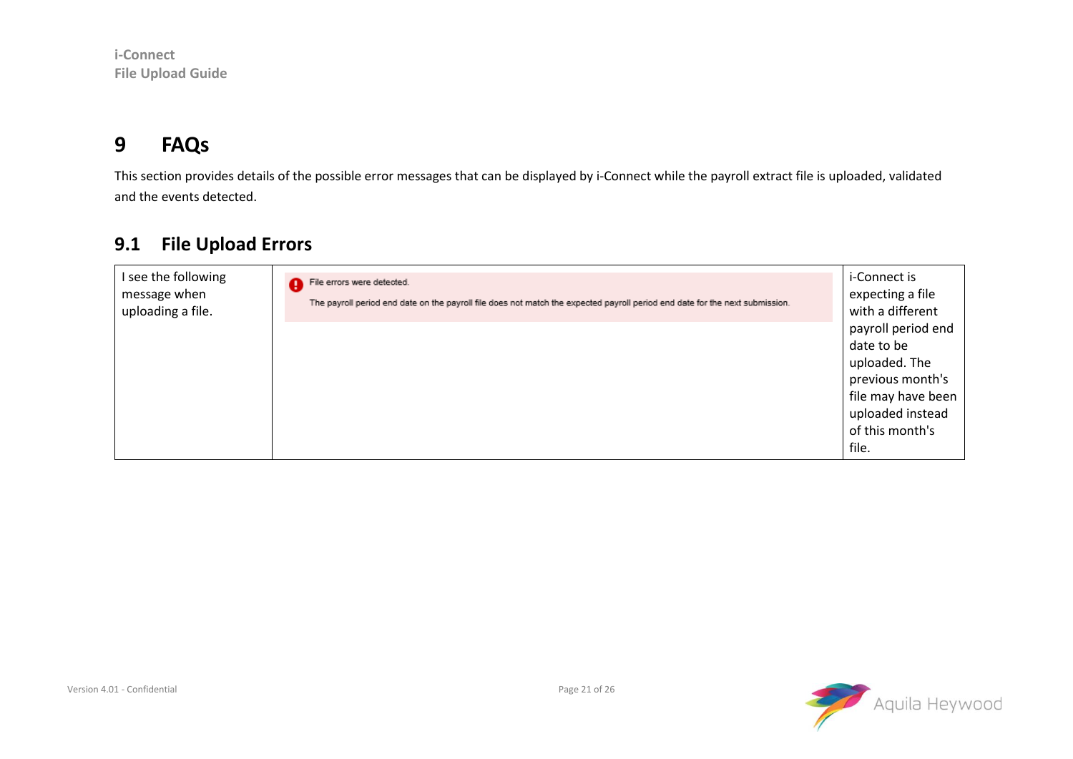#### **9 FAQs**

This section provides details of the possible error messages that can be displayed by i-Connect while the payroll extract file is uploaded, validated and the events detected.

#### **9.1 File Upload Errors**

<span id="page-20-1"></span><span id="page-20-0"></span>

| I see the following<br>message when<br>uploading a file. | File errors were detected.<br>The payroll period end date on the payroll file does not match the expected payroll period end date for the next submission. | i-Connect is<br>expecting a file<br>with a different |
|----------------------------------------------------------|------------------------------------------------------------------------------------------------------------------------------------------------------------|------------------------------------------------------|
|                                                          |                                                                                                                                                            | payroll period end                                   |
|                                                          |                                                                                                                                                            | date to be                                           |
|                                                          |                                                                                                                                                            | uploaded. The                                        |
|                                                          |                                                                                                                                                            | previous month's                                     |
|                                                          |                                                                                                                                                            | file may have been                                   |
|                                                          |                                                                                                                                                            | uploaded instead                                     |
|                                                          |                                                                                                                                                            | of this month's                                      |
|                                                          |                                                                                                                                                            | file.                                                |

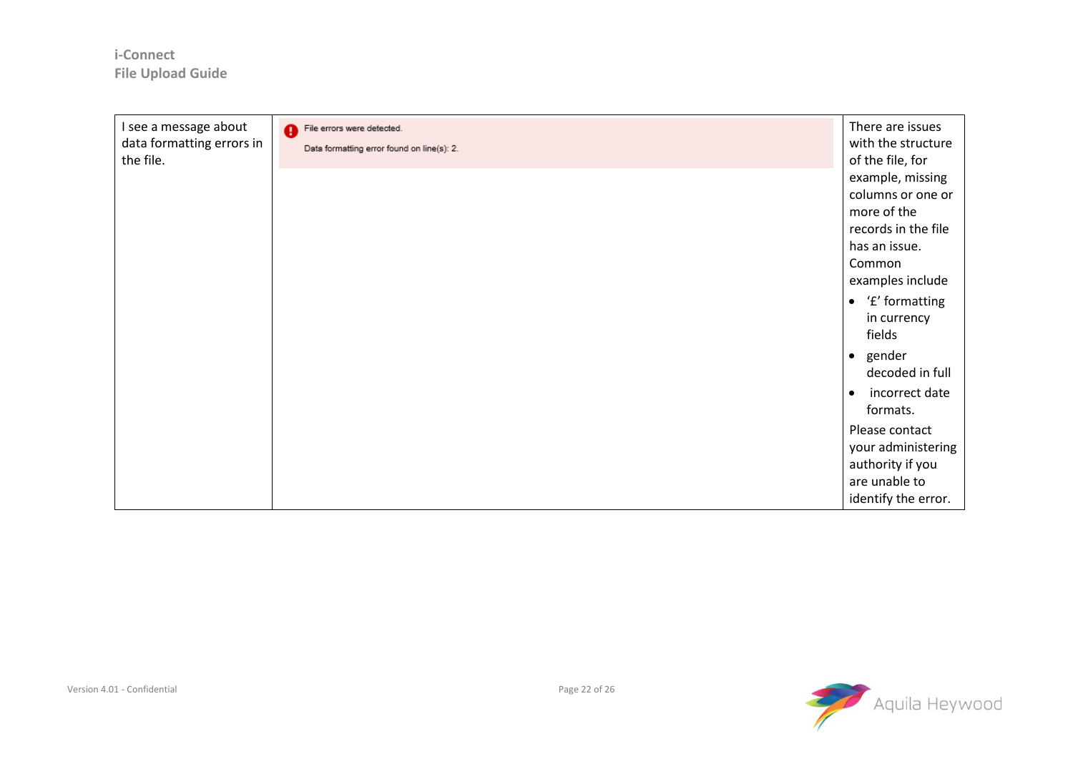| I see a message about<br>data formatting errors in<br>the file. | File errors were detected.<br>Data formatting error found on line(s): 2. | There are issues<br>with the structure<br>of the file, for                                             |
|-----------------------------------------------------------------|--------------------------------------------------------------------------|--------------------------------------------------------------------------------------------------------|
|                                                                 |                                                                          | example, missing<br>columns or one or<br>more of the<br>records in the file<br>has an issue.<br>Common |
|                                                                 |                                                                          | examples include<br>$\bullet$ 'f' formatting<br>in currency<br>fields<br>• gender<br>decoded in full   |
|                                                                 |                                                                          | incorrect date<br>$\bullet$<br>formats.                                                                |
|                                                                 |                                                                          | Please contact<br>your administering<br>authority if you<br>are unable to<br>identify the error.       |

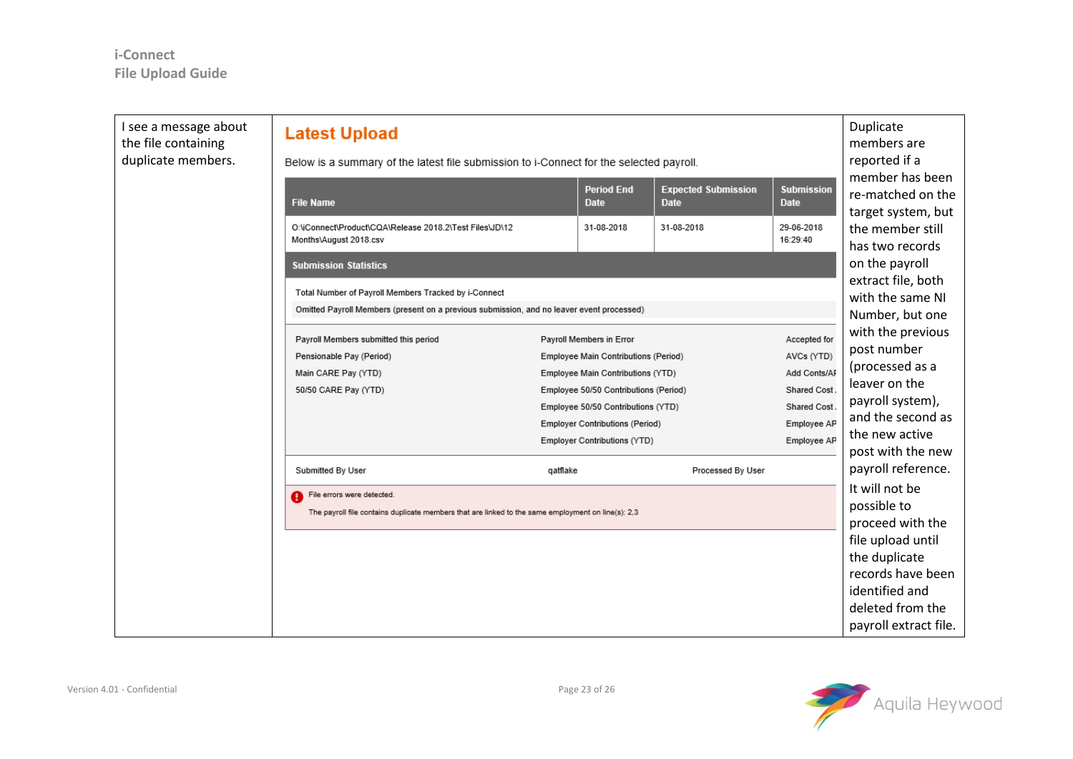| I see a message about<br>the file containing<br>duplicate members. | <b>Latest Upload</b><br>Below is a summary of the latest file submission to i-Connect for the selected payroll. |                                                                             |                                                                        |                                           |                                  | Duplicate<br>members are<br>reported if a                                      |  |
|--------------------------------------------------------------------|-----------------------------------------------------------------------------------------------------------------|-----------------------------------------------------------------------------|------------------------------------------------------------------------|-------------------------------------------|----------------------------------|--------------------------------------------------------------------------------|--|
|                                                                    |                                                                                                                 |                                                                             |                                                                        |                                           |                                  | member has been                                                                |  |
|                                                                    | <b>File Name</b>                                                                                                |                                                                             | <b>Period End</b><br><b>Date</b>                                       | <b>Expected Submission</b><br><b>Date</b> | <b>Submission</b><br><b>Date</b> | re-matched on the<br>target system, but<br>the member still<br>has two records |  |
|                                                                    | O:\iConnect\Product\CQA\Release 2018.2\Test Files\JD\12<br>Months\August 2018.csv                               |                                                                             | 31-08-2018                                                             | 31-08-2018                                | 29-06-2018<br>16:29:40           |                                                                                |  |
|                                                                    | <b>Submission Statistics</b>                                                                                    |                                                                             |                                                                        |                                           |                                  | on the payroll<br>extract file, both                                           |  |
|                                                                    | Total Number of Payroll Members Tracked by i-Connect                                                            |                                                                             |                                                                        |                                           |                                  |                                                                                |  |
|                                                                    | Omitted Payroll Members (present on a previous submission, and no leaver event processed)                       |                                                                             |                                                                        |                                           |                                  | with the same NI<br>Number, but one                                            |  |
|                                                                    |                                                                                                                 |                                                                             |                                                                        |                                           |                                  |                                                                                |  |
|                                                                    | Payroll Members submitted this period                                                                           | Accepted for<br>Payroll Members in Error                                    |                                                                        |                                           | with the previous                |                                                                                |  |
|                                                                    | Pensionable Pay (Period)                                                                                        |                                                                             | Employee Main Contributions (Period)                                   |                                           | AVCs (YTD)                       | post number                                                                    |  |
|                                                                    | Main CARE Pay (YTD)<br>Employee Main Contributions (YTD)                                                        |                                                                             | Add Conts/AF                                                           | (processed as a                           |                                  |                                                                                |  |
|                                                                    | 50/50 CARE Pay (YTD)                                                                                            | Employee 50/50 Contributions (Period)<br>Employee 50/50 Contributions (YTD) |                                                                        |                                           | <b>Shared Cost</b>               | leaver on the                                                                  |  |
|                                                                    |                                                                                                                 |                                                                             |                                                                        |                                           | Shared Cost                      | payroll system),<br>and the second as<br>Employee AP<br>Employee AP            |  |
|                                                                    |                                                                                                                 |                                                                             | <b>Employer Contributions (Period)</b><br>Employer Contributions (YTD) |                                           |                                  |                                                                                |  |
|                                                                    |                                                                                                                 |                                                                             |                                                                        |                                           |                                  | the new active                                                                 |  |
|                                                                    | Submitted By User                                                                                               | qatflake                                                                    |                                                                        | Processed By User                         |                                  | post with the new<br>payroll reference.                                        |  |
|                                                                    | File errors were detected.                                                                                      |                                                                             |                                                                        |                                           |                                  | It will not be                                                                 |  |
|                                                                    | The payroll file contains duplicate members that are linked to the same employment on line(s): 2,3              |                                                                             |                                                                        |                                           |                                  | possible to                                                                    |  |
|                                                                    |                                                                                                                 |                                                                             |                                                                        |                                           |                                  | proceed with the                                                               |  |
|                                                                    |                                                                                                                 |                                                                             |                                                                        |                                           |                                  | file upload until                                                              |  |
|                                                                    |                                                                                                                 |                                                                             |                                                                        |                                           |                                  | the duplicate                                                                  |  |
|                                                                    |                                                                                                                 |                                                                             |                                                                        |                                           |                                  | records have been                                                              |  |
|                                                                    |                                                                                                                 |                                                                             |                                                                        |                                           |                                  | identified and                                                                 |  |
|                                                                    |                                                                                                                 |                                                                             |                                                                        |                                           |                                  | deleted from the                                                               |  |
|                                                                    |                                                                                                                 |                                                                             |                                                                        |                                           |                                  | payroll extract file.                                                          |  |

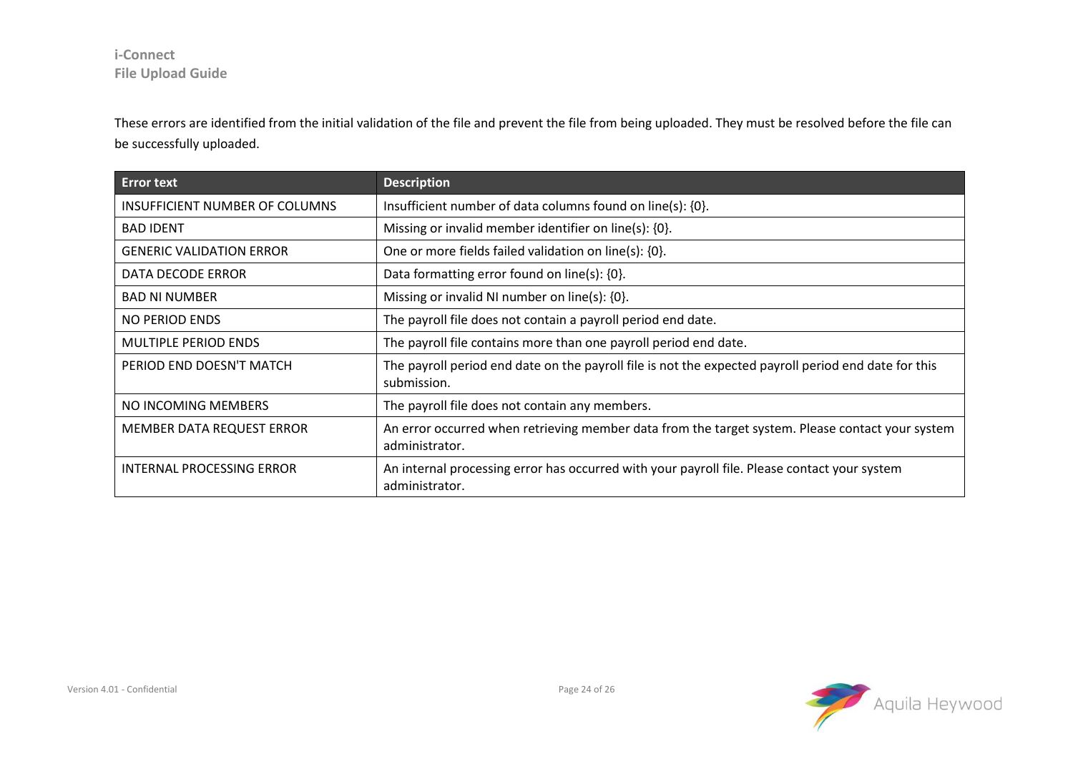These errors are identified from the initial validation of the file and prevent the file from being uploaded. They must be resolved before the file can be successfully uploaded.

| <b>Error text</b>                     | <b>Description</b>                                                                                                  |  |  |  |
|---------------------------------------|---------------------------------------------------------------------------------------------------------------------|--|--|--|
| <b>INSUFFICIENT NUMBER OF COLUMNS</b> | Insufficient number of data columns found on line(s): {0}.                                                          |  |  |  |
| <b>BAD IDENT</b>                      | Missing or invalid member identifier on line(s): {0}.                                                               |  |  |  |
| <b>GENERIC VALIDATION ERROR</b>       | One or more fields failed validation on line(s): {0}.                                                               |  |  |  |
| DATA DECODE ERROR                     | Data formatting error found on line(s): $\{0\}$ .                                                                   |  |  |  |
| <b>BAD NI NUMBER</b>                  | Missing or invalid NI number on line(s): $\{0\}$ .                                                                  |  |  |  |
| NO PERIOD ENDS                        | The payroll file does not contain a payroll period end date.                                                        |  |  |  |
| <b>MULTIPLE PERIOD ENDS</b>           | The payroll file contains more than one payroll period end date.                                                    |  |  |  |
| PERIOD END DOESN'T MATCH              | The payroll period end date on the payroll file is not the expected payroll period end date for this<br>submission. |  |  |  |
| NO INCOMING MEMBERS                   | The payroll file does not contain any members.                                                                      |  |  |  |
| MEMBER DATA REQUEST ERROR             | An error occurred when retrieving member data from the target system. Please contact your system<br>administrator.  |  |  |  |
| INTERNAL PROCESSING ERROR             | An internal processing error has occurred with your payroll file. Please contact your system<br>administrator.      |  |  |  |

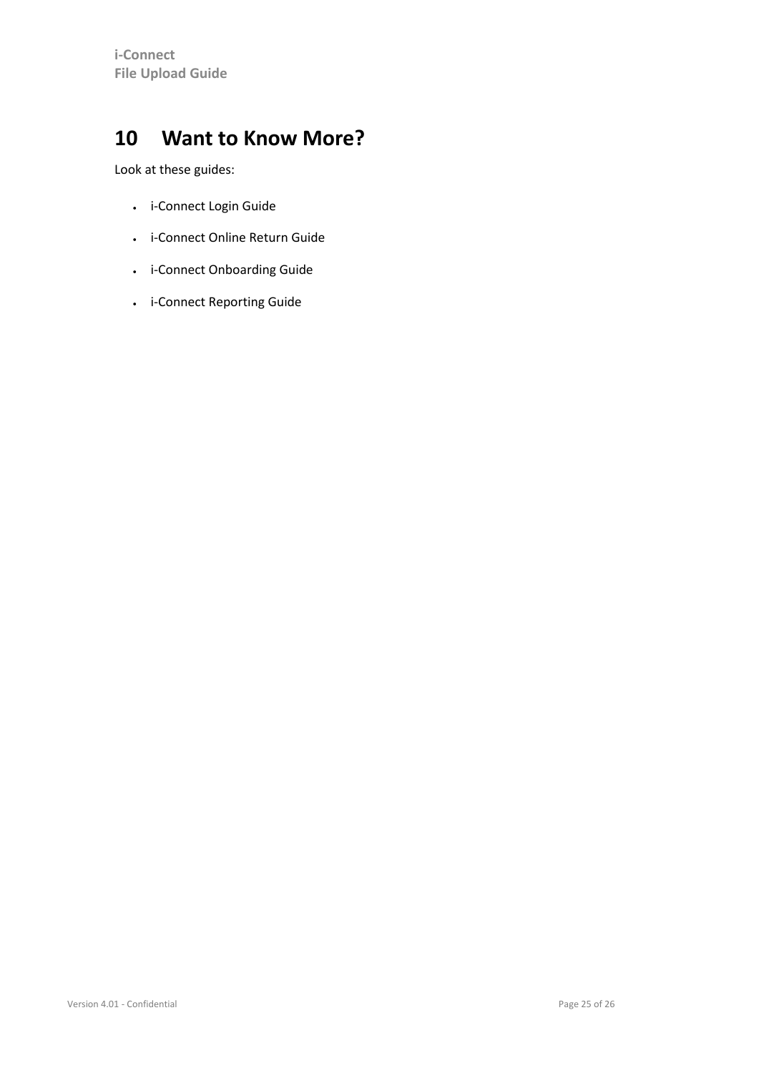#### <span id="page-24-0"></span>**10 Want to Know More?**

Look at these guides:

- i-Connect Login Guide
- i-Connect Online Return Guide
- i-Connect Onboarding Guide
- i-Connect Reporting Guide